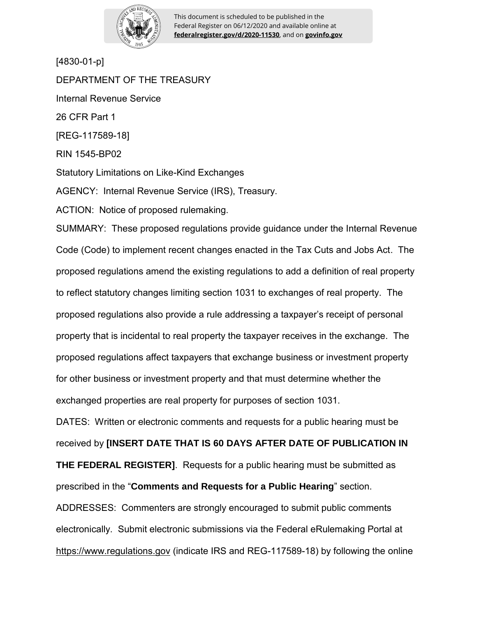

This document is scheduled to be published in the Federal Register on 06/12/2020 and available online at **federalregister.gov/d/2020-11530**, and on **govinfo.gov**

[4830-01-p]

DEPARTMENT OF THE TREASURY Internal Revenue Service 26 CFR Part 1 [REG-117589-18] RIN 1545-BP02 Statutory Limitations on Like-Kind Exchanges AGENCY: Internal Revenue Service (IRS), Treasury. ACTION: Notice of proposed rulemaking. SUMMARY: These proposed regulations provide guidance under the Internal Revenue Code (Code) to implement recent changes enacted in the Tax Cuts and Jobs Act. The proposed regulations amend the existing regulations to add a definition of real property to reflect statutory changes limiting section 1031 to exchanges of real property. The proposed regulations also provide a rule addressing a taxpayer's receipt of personal property that is incidental to real property the taxpayer receives in the exchange. The proposed regulations affect taxpayers that exchange business or investment property for other business or investment property and that must determine whether the exchanged properties are real property for purposes of section 1031. DATES: Written or electronic comments and requests for a public hearing must be received by **[INSERT DATE THAT IS 60 DAYS AFTER DATE OF PUBLICATION IN THE FEDERAL REGISTER]**. Requests for a public hearing must be submitted as prescribed in the "**Comments and Requests for a Public Hearing**" section. ADDRESSES: Commenters are strongly encouraged to submit public comments electronically. Submit electronic submissions via the Federal eRulemaking Portal at https://www.regulations.gov (indicate IRS and REG-117589-18) by following the online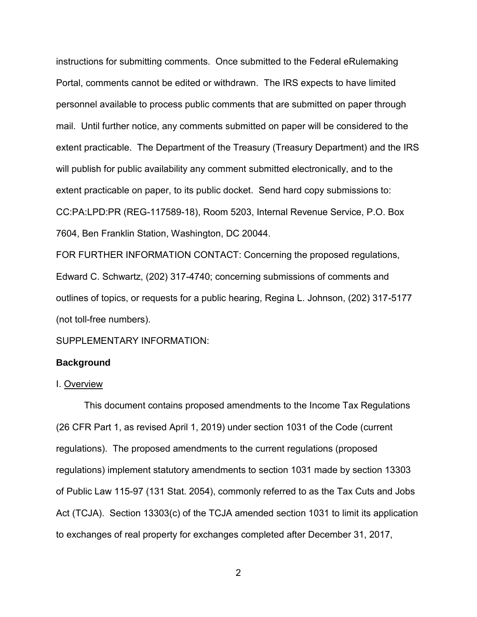instructions for submitting comments. Once submitted to the Federal eRulemaking Portal, comments cannot be edited or withdrawn. The IRS expects to have limited personnel available to process public comments that are submitted on paper through mail. Until further notice, any comments submitted on paper will be considered to the extent practicable. The Department of the Treasury (Treasury Department) and the IRS will publish for public availability any comment submitted electronically, and to the extent practicable on paper, to its public docket. Send hard copy submissions to: CC:PA:LPD:PR (REG-117589-18), Room 5203, Internal Revenue Service, P.O. Box 7604, Ben Franklin Station, Washington, DC 20044.

FOR FURTHER INFORMATION CONTACT: Concerning the proposed regulations, Edward C. Schwartz, (202) 317-4740; concerning submissions of comments and outlines of topics, or requests for a public hearing, Regina L. Johnson, (202) 317-5177 (not toll-free numbers).

SUPPLEMENTARY INFORMATION:

### **Background**

### I. Overview

This document contains proposed amendments to the Income Tax Regulations (26 CFR Part 1, as revised April 1, 2019) under section 1031 of the Code (current regulations). The proposed amendments to the current regulations (proposed regulations) implement statutory amendments to section 1031 made by section 13303 of Public Law 115-97 (131 Stat. 2054), commonly referred to as the Tax Cuts and Jobs Act (TCJA). Section 13303(c) of the TCJA amended section 1031 to limit its application to exchanges of real property for exchanges completed after December 31, 2017,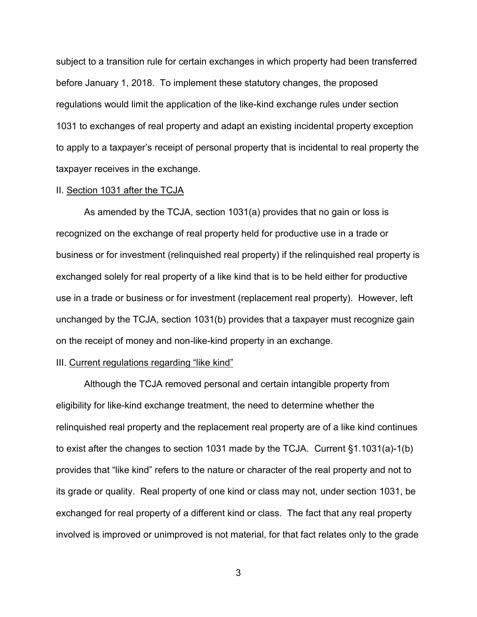subject to a transition rule for certain exchanges in which property had been transferred before January 1, 2018. To implement these statutory changes, the proposed regulations would limit the application of the like-kind exchange rules under section 1031 to exchanges of real property and adapt an existing incidental property exception to apply to a taxpayer's receipt of personal property that is incidental to real property the taxpayer receives in the exchange.

#### II. Section 1031 after the TCJA

As amended by the TCJA, section 1031(a) provides that no gain or loss is recognized on the exchange of real property held for productive use in a trade or business or for investment (relinquished real property) if the relinquished real property is exchanged solely for real property of a like kind that is to be held either for productive use in a trade or business or for investment (replacement real property). However, left unchanged by the TCJA, section 1031(b) provides that a taxpayer must recognize gain on the receipt of money and non-like-kind property in an exchange.

### III. Current regulations regarding "like kind"

Although the TCJA removed personal and certain intangible property from eligibility for like-kind exchange treatment, the need to determine whether the relinquished real property and the replacement real property are of a like kind continues to exist after the changes to section 1031 made by the TCJA. Current §1.1031(a)-1(b) provides that "like kind" refers to the nature or character of the real property and not to its grade or quality. Real property of one kind or class may not, under section 1031, be exchanged for real property of a different kind or class. The fact that any real property involved is improved or unimproved is not material, for that fact relates only to the grade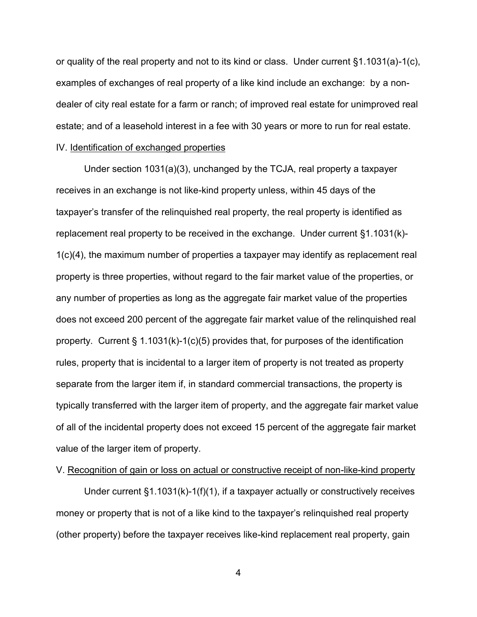or quality of the real property and not to its kind or class. Under current  $\S1.1031(a)-1(c)$ , examples of exchanges of real property of a like kind include an exchange: by a nondealer of city real estate for a farm or ranch; of improved real estate for unimproved real estate; and of a leasehold interest in a fee with 30 years or more to run for real estate.

# IV. Identification of exchanged properties

Under section 1031(a)(3), unchanged by the TCJA, real property a taxpayer receives in an exchange is not like-kind property unless, within 45 days of the taxpayer's transfer of the relinquished real property, the real property is identified as replacement real property to be received in the exchange. Under current §1.1031(k)- 1(c)(4), the maximum number of properties a taxpayer may identify as replacement real property is three properties, without regard to the fair market value of the properties, or any number of properties as long as the aggregate fair market value of the properties does not exceed 200 percent of the aggregate fair market value of the relinquished real property. Current § 1.1031(k)-1(c)(5) provides that, for purposes of the identification rules, property that is incidental to a larger item of property is not treated as property separate from the larger item if, in standard commercial transactions, the property is typically transferred with the larger item of property, and the aggregate fair market value of all of the incidental property does not exceed 15 percent of the aggregate fair market value of the larger item of property.

### V. Recognition of gain or loss on actual or constructive receipt of non-like-kind property

Under current §1.1031(k)-1(f)(1), if a taxpayer actually or constructively receives money or property that is not of a like kind to the taxpayer's relinquished real property (other property) before the taxpayer receives like-kind replacement real property, gain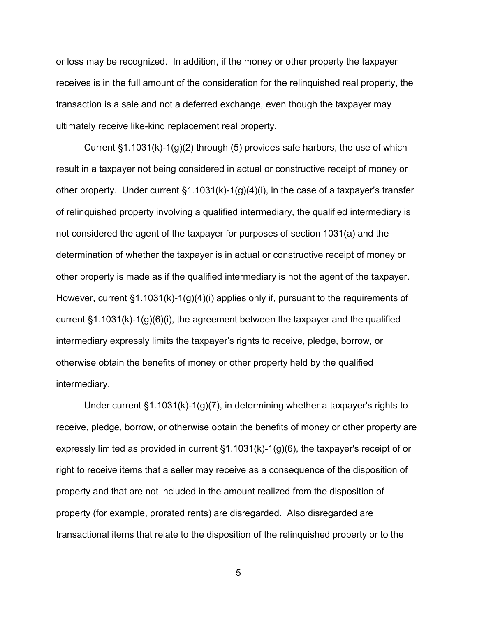or loss may be recognized. In addition, if the money or other property the taxpayer receives is in the full amount of the consideration for the relinquished real property, the transaction is a sale and not a deferred exchange, even though the taxpayer may ultimately receive like-kind replacement real property.

Current  $\S1.1031(k)-1(q)(2)$  through (5) provides safe harbors, the use of which result in a taxpayer not being considered in actual or constructive receipt of money or other property. Under current §1.1031(k)-1(g)(4)(i), in the case of a taxpayer's transfer of relinquished property involving a qualified intermediary, the qualified intermediary is not considered the agent of the taxpayer for purposes of section 1031(a) and the determination of whether the taxpayer is in actual or constructive receipt of money or other property is made as if the qualified intermediary is not the agent of the taxpayer. However, current §1.1031(k)-1(g)(4)(i) applies only if, pursuant to the requirements of current §1.1031(k)-1(g)(6)(i), the agreement between the taxpayer and the qualified intermediary expressly limits the taxpayer's rights to receive, pledge, borrow, or otherwise obtain the benefits of money or other property held by the qualified intermediary.

Under current §1.1031(k)-1(g)(7), in determining whether a taxpayer's rights to receive, pledge, borrow, or otherwise obtain the benefits of money or other property are expressly limited as provided in current §1.1031(k)-1(g)(6), the taxpayer's receipt of or right to receive items that a seller may receive as a consequence of the disposition of property and that are not included in the amount realized from the disposition of property (for example, prorated rents) are disregarded. Also disregarded are transactional items that relate to the disposition of the relinquished property or to the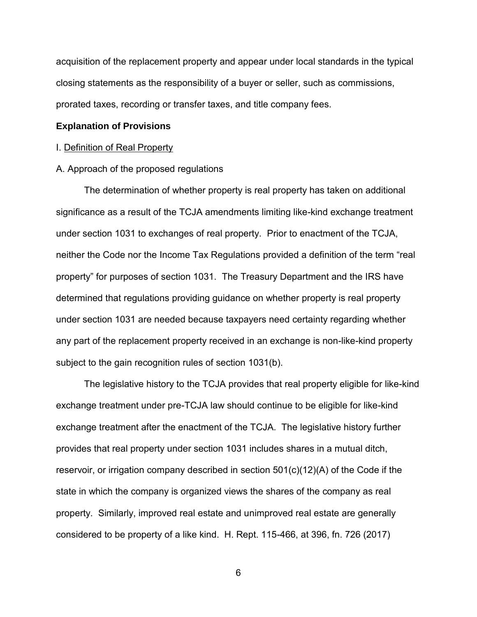acquisition of the replacement property and appear under local standards in the typical closing statements as the responsibility of a buyer or seller, such as commissions, prorated taxes, recording or transfer taxes, and title company fees.

#### **Explanation of Provisions**

#### I. Definition of Real Property

#### A. Approach of the proposed regulations

The determination of whether property is real property has taken on additional significance as a result of the TCJA amendments limiting like-kind exchange treatment under section 1031 to exchanges of real property. Prior to enactment of the TCJA, neither the Code nor the Income Tax Regulations provided a definition of the term "real property" for purposes of section 1031. The Treasury Department and the IRS have determined that regulations providing guidance on whether property is real property under section 1031 are needed because taxpayers need certainty regarding whether any part of the replacement property received in an exchange is non-like-kind property subject to the gain recognition rules of section 1031(b).

The legislative history to the TCJA provides that real property eligible for like-kind exchange treatment under pre-TCJA law should continue to be eligible for like-kind exchange treatment after the enactment of the TCJA. The legislative history further provides that real property under section 1031 includes shares in a mutual ditch, reservoir, or irrigation company described in section 501(c)(12)(A) of the Code if the state in which the company is organized views the shares of the company as real property. Similarly, improved real estate and unimproved real estate are generally considered to be property of a like kind. H. Rept. 115-466, at 396, fn. 726 (2017)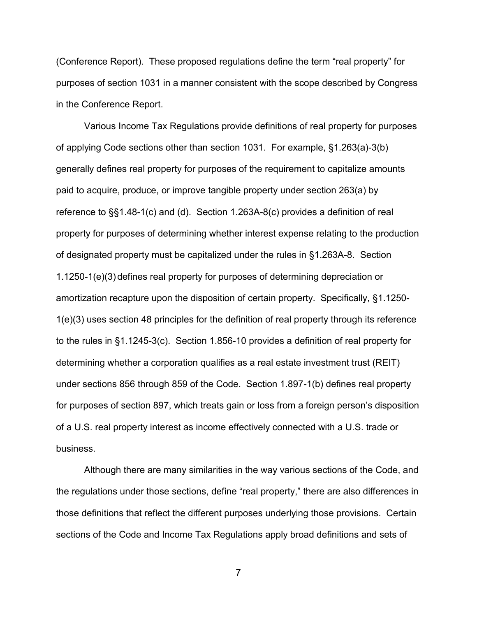(Conference Report). These proposed regulations define the term "real property" for purposes of section 1031 in a manner consistent with the scope described by Congress in the Conference Report.

Various Income Tax Regulations provide definitions of real property for purposes of applying Code sections other than section 1031. For example, §1.263(a)-3(b) generally defines real property for purposes of the requirement to capitalize amounts paid to acquire, produce, or improve tangible property under section 263(a) by reference to §§1.48-1(c) and (d). Section 1.263A-8(c) provides a definition of real property for purposes of determining whether interest expense relating to the production of designated property must be capitalized under the rules in §1.263A-8. Section 1.1250-1(e)(3) defines real property for purposes of determining depreciation or amortization recapture upon the disposition of certain property. Specifically, §1.1250- 1(e)(3) uses section 48 principles for the definition of real property through its reference to the rules in §1.1245-3(c). Section 1.856-10 provides a definition of real property for determining whether a corporation qualifies as a real estate investment trust (REIT) under sections 856 through 859 of the Code. Section 1.897-1(b) defines real property for purposes of section 897, which treats gain or loss from a foreign person's disposition of a U.S. real property interest as income effectively connected with a U.S. trade or business.

Although there are many similarities in the way various sections of the Code, and the regulations under those sections, define "real property," there are also differences in those definitions that reflect the different purposes underlying those provisions. Certain sections of the Code and Income Tax Regulations apply broad definitions and sets of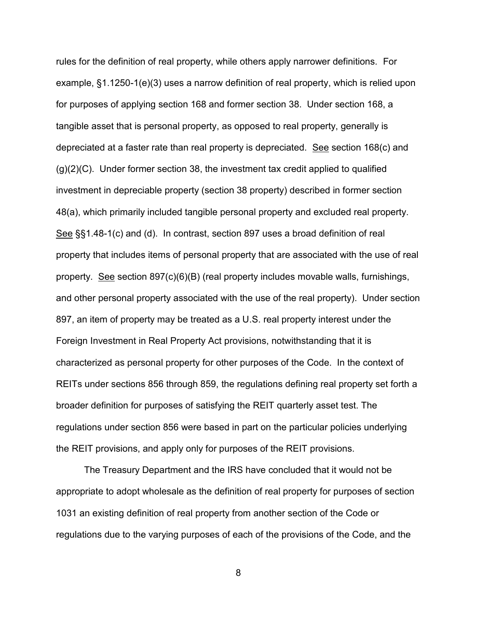rules for the definition of real property, while others apply narrower definitions. For example, §1.1250-1(e)(3) uses a narrow definition of real property, which is relied upon for purposes of applying section 168 and former section 38. Under section 168, a tangible asset that is personal property, as opposed to real property, generally is depreciated at a faster rate than real property is depreciated. See section 168(c) and  $(g)(2)(C)$ . Under former section 38, the investment tax credit applied to qualified investment in depreciable property (section 38 property) described in former section 48(a), which primarily included tangible personal property and excluded real property. See §§1.48-1(c) and (d). In contrast, section 897 uses a broad definition of real property that includes items of personal property that are associated with the use of real property. See section 897(c)(6)(B) (real property includes movable walls, furnishings, and other personal property associated with the use of the real property). Under section 897, an item of property may be treated as a U.S. real property interest under the Foreign Investment in Real Property Act provisions, notwithstanding that it is characterized as personal property for other purposes of the Code. In the context of REITs under sections 856 through 859, the regulations defining real property set forth a broader definition for purposes of satisfying the REIT quarterly asset test. The regulations under section 856 were based in part on the particular policies underlying the REIT provisions, and apply only for purposes of the REIT provisions.

The Treasury Department and the IRS have concluded that it would not be appropriate to adopt wholesale as the definition of real property for purposes of section 1031 an existing definition of real property from another section of the Code or regulations due to the varying purposes of each of the provisions of the Code, and the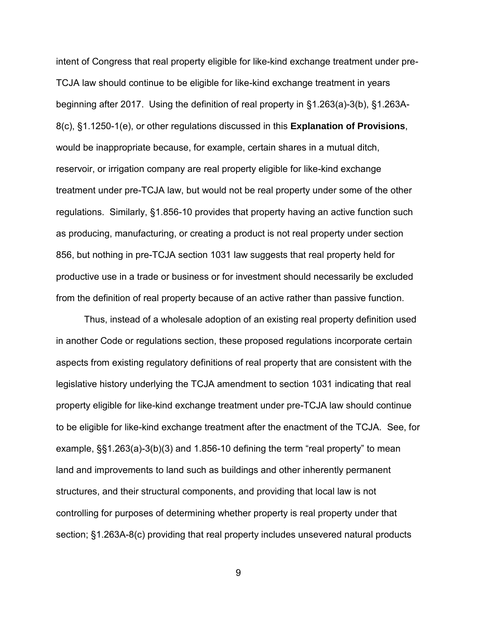intent of Congress that real property eligible for like-kind exchange treatment under pre-TCJA law should continue to be eligible for like-kind exchange treatment in years beginning after 2017. Using the definition of real property in §1.263(a)-3(b), §1.263A-8(c), §1.1250-1(e), or other regulations discussed in this **Explanation of Provisions**, would be inappropriate because, for example, certain shares in a mutual ditch, reservoir, or irrigation company are real property eligible for like-kind exchange treatment under pre-TCJA law, but would not be real property under some of the other regulations. Similarly, §1.856-10 provides that property having an active function such as producing, manufacturing, or creating a product is not real property under section 856, but nothing in pre-TCJA section 1031 law suggests that real property held for productive use in a trade or business or for investment should necessarily be excluded from the definition of real property because of an active rather than passive function.

Thus, instead of a wholesale adoption of an existing real property definition used in another Code or regulations section, these proposed regulations incorporate certain aspects from existing regulatory definitions of real property that are consistent with the legislative history underlying the TCJA amendment to section 1031 indicating that real property eligible for like-kind exchange treatment under pre-TCJA law should continue to be eligible for like-kind exchange treatment after the enactment of the TCJA. See, for example, §§1.263(a)-3(b)(3) and 1.856-10 defining the term "real property" to mean land and improvements to land such as buildings and other inherently permanent structures, and their structural components, and providing that local law is not controlling for purposes of determining whether property is real property under that section; §1.263A-8(c) providing that real property includes unsevered natural products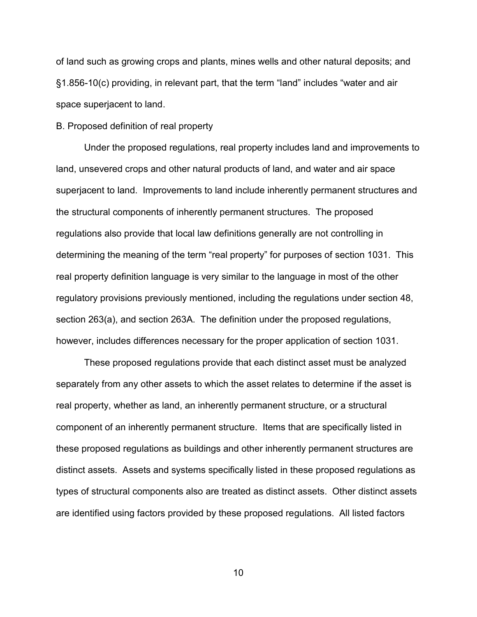of land such as growing crops and plants, mines wells and other natural deposits; and §1.856-10(c) providing, in relevant part, that the term "land" includes "water and air space superjacent to land.

### B. Proposed definition of real property

Under the proposed regulations, real property includes land and improvements to land, unsevered crops and other natural products of land, and water and air space superjacent to land. Improvements to land include inherently permanent structures and the structural components of inherently permanent structures. The proposed regulations also provide that local law definitions generally are not controlling in determining the meaning of the term "real property" for purposes of section 1031. This real property definition language is very similar to the language in most of the other regulatory provisions previously mentioned, including the regulations under section 48, section 263(a), and section 263A. The definition under the proposed regulations, however, includes differences necessary for the proper application of section 1031.

These proposed regulations provide that each distinct asset must be analyzed separately from any other assets to which the asset relates to determine if the asset is real property, whether as land, an inherently permanent structure, or a structural component of an inherently permanent structure. Items that are specifically listed in these proposed regulations as buildings and other inherently permanent structures are distinct assets. Assets and systems specifically listed in these proposed regulations as types of structural components also are treated as distinct assets. Other distinct assets are identified using factors provided by these proposed regulations. All listed factors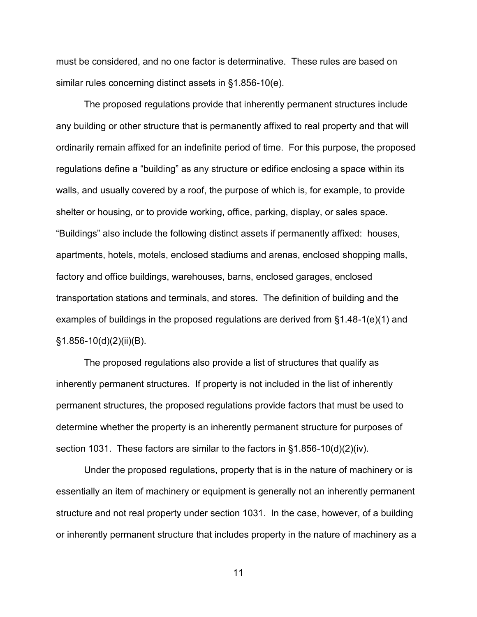must be considered, and no one factor is determinative. These rules are based on similar rules concerning distinct assets in §1.856-10(e).

The proposed regulations provide that inherently permanent structures include any building or other structure that is permanently affixed to real property and that will ordinarily remain affixed for an indefinite period of time. For this purpose, the proposed regulations define a "building" as any structure or edifice enclosing a space within its walls, and usually covered by a roof, the purpose of which is, for example, to provide shelter or housing, or to provide working, office, parking, display, or sales space. "Buildings" also include the following distinct assets if permanently affixed: houses, apartments, hotels, motels, enclosed stadiums and arenas, enclosed shopping malls, factory and office buildings, warehouses, barns, enclosed garages, enclosed transportation stations and terminals, and stores. The definition of building and the examples of buildings in the proposed regulations are derived from §1.48-1(e)(1) and §1.856-10(d)(2)(ii)(B).

The proposed regulations also provide a list of structures that qualify as inherently permanent structures. If property is not included in the list of inherently permanent structures, the proposed regulations provide factors that must be used to determine whether the property is an inherently permanent structure for purposes of section 1031. These factors are similar to the factors in §1.856-10(d)(2)(iv).

Under the proposed regulations, property that is in the nature of machinery or is essentially an item of machinery or equipment is generally not an inherently permanent structure and not real property under section 1031. In the case, however, of a building or inherently permanent structure that includes property in the nature of machinery as a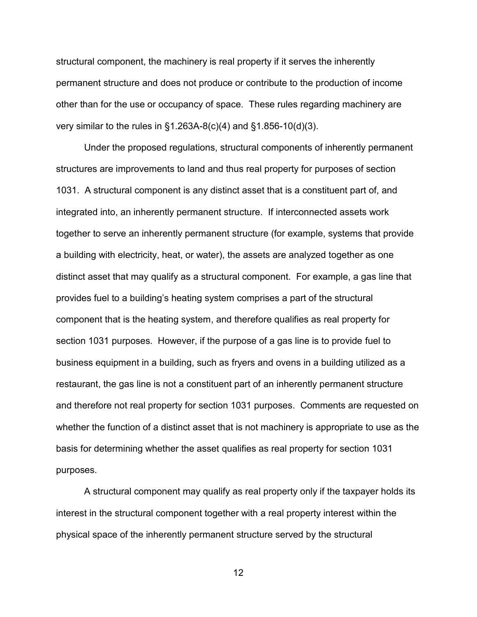structural component, the machinery is real property if it serves the inherently permanent structure and does not produce or contribute to the production of income other than for the use or occupancy of space. These rules regarding machinery are very similar to the rules in  $\S1.263A-8(c)(4)$  and  $\S1.856-10(d)(3)$ .

Under the proposed regulations, structural components of inherently permanent structures are improvements to land and thus real property for purposes of section 1031. A structural component is any distinct asset that is a constituent part of, and integrated into, an inherently permanent structure. If interconnected assets work together to serve an inherently permanent structure (for example, systems that provide a building with electricity, heat, or water), the assets are analyzed together as one distinct asset that may qualify as a structural component. For example, a gas line that provides fuel to a building's heating system comprises a part of the structural component that is the heating system, and therefore qualifies as real property for section 1031 purposes. However, if the purpose of a gas line is to provide fuel to business equipment in a building, such as fryers and ovens in a building utilized as a restaurant, the gas line is not a constituent part of an inherently permanent structure and therefore not real property for section 1031 purposes. Comments are requested on whether the function of a distinct asset that is not machinery is appropriate to use as the basis for determining whether the asset qualifies as real property for section 1031 purposes.

A structural component may qualify as real property only if the taxpayer holds its interest in the structural component together with a real property interest within the physical space of the inherently permanent structure served by the structural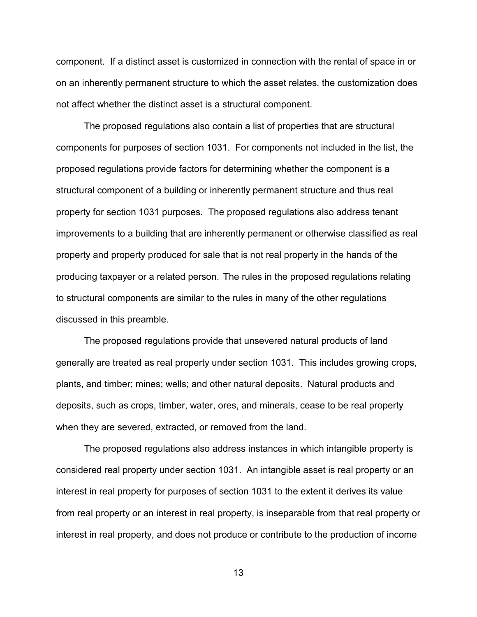component. If a distinct asset is customized in connection with the rental of space in or on an inherently permanent structure to which the asset relates, the customization does not affect whether the distinct asset is a structural component.

The proposed regulations also contain a list of properties that are structural components for purposes of section 1031. For components not included in the list, the proposed regulations provide factors for determining whether the component is a structural component of a building or inherently permanent structure and thus real property for section 1031 purposes. The proposed regulations also address tenant improvements to a building that are inherently permanent or otherwise classified as real property and property produced for sale that is not real property in the hands of the producing taxpayer or a related person. The rules in the proposed regulations relating to structural components are similar to the rules in many of the other regulations discussed in this preamble.

 The proposed regulations provide that unsevered natural products of land generally are treated as real property under section 1031. This includes growing crops, plants, and timber; mines; wells; and other natural deposits. Natural products and deposits, such as crops, timber, water, ores, and minerals, cease to be real property when they are severed, extracted, or removed from the land.

The proposed regulations also address instances in which intangible property is considered real property under section 1031. An intangible asset is real property or an interest in real property for purposes of section 1031 to the extent it derives its value from real property or an interest in real property, is inseparable from that real property or interest in real property, and does not produce or contribute to the production of income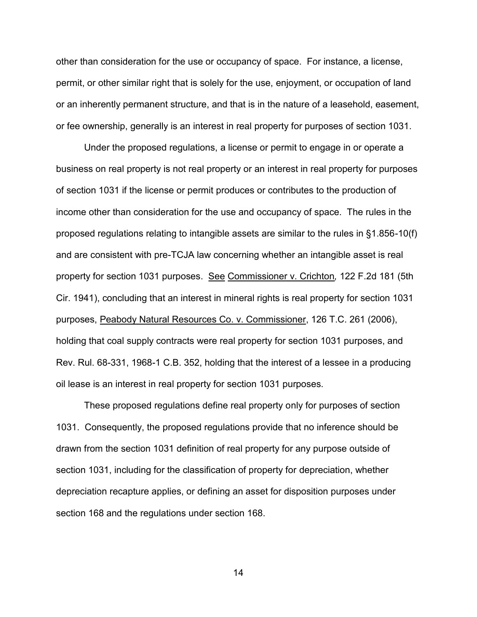other than consideration for the use or occupancy of space. For instance, a license, permit, or other similar right that is solely for the use, enjoyment, or occupation of land or an inherently permanent structure, and that is in the nature of a leasehold, easement, or fee ownership, generally is an interest in real property for purposes of section 1031.

Under the proposed regulations, a license or permit to engage in or operate a business on real property is not real property or an interest in real property for purposes of section 1031 if the license or permit produces or contributes to the production of income other than consideration for the use and occupancy of space. The rules in the proposed regulations relating to intangible assets are similar to the rules in §1.856-10(f) and are consistent with pre-TCJA law concerning whether an intangible asset is real property for section 1031 purposes. See Commissioner v. Crichton*,* 122 F.2d 181 (5th Cir. 1941), concluding that an interest in mineral rights is real property for section 1031 purposes, Peabody Natural Resources Co. v. Commissioner, 126 T.C. 261 (2006), holding that coal supply contracts were real property for section 1031 purposes, and Rev. Rul. 68-331, 1968-1 C.B. 352, holding that the interest of a lessee in a producing oil lease is an interest in real property for section 1031 purposes.

These proposed regulations define real property only for purposes of section 1031. Consequently, the proposed regulations provide that no inference should be drawn from the section 1031 definition of real property for any purpose outside of section 1031, including for the classification of property for depreciation, whether depreciation recapture applies, or defining an asset for disposition purposes under section 168 and the regulations under section 168.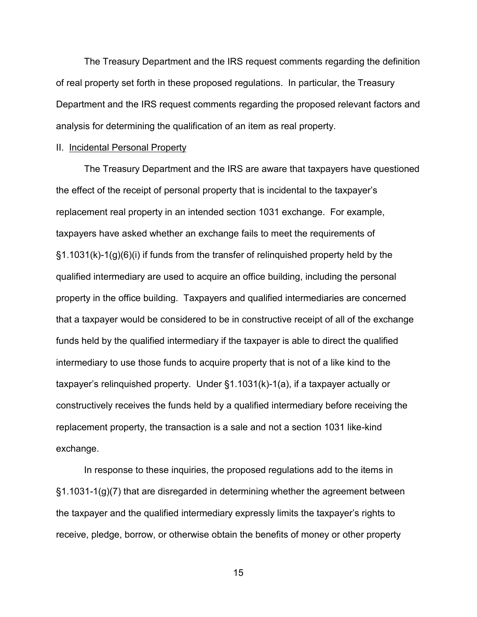The Treasury Department and the IRS request comments regarding the definition of real property set forth in these proposed regulations. In particular, the Treasury Department and the IRS request comments regarding the proposed relevant factors and analysis for determining the qualification of an item as real property.

#### II. Incidental Personal Property

The Treasury Department and the IRS are aware that taxpayers have questioned the effect of the receipt of personal property that is incidental to the taxpayer's replacement real property in an intended section 1031 exchange. For example, taxpayers have asked whether an exchange fails to meet the requirements of §1.1031(k)-1(g)(6)(i) if funds from the transfer of relinquished property held by the qualified intermediary are used to acquire an office building, including the personal property in the office building. Taxpayers and qualified intermediaries are concerned that a taxpayer would be considered to be in constructive receipt of all of the exchange funds held by the qualified intermediary if the taxpayer is able to direct the qualified intermediary to use those funds to acquire property that is not of a like kind to the taxpayer's relinquished property. Under §1.1031(k)-1(a), if a taxpayer actually or constructively receives the funds held by a qualified intermediary before receiving the replacement property, the transaction is a sale and not a section 1031 like-kind exchange.

 In response to these inquiries, the proposed regulations add to the items in §1.1031-1(g)(7) that are disregarded in determining whether the agreement between the taxpayer and the qualified intermediary expressly limits the taxpayer's rights to receive, pledge, borrow, or otherwise obtain the benefits of money or other property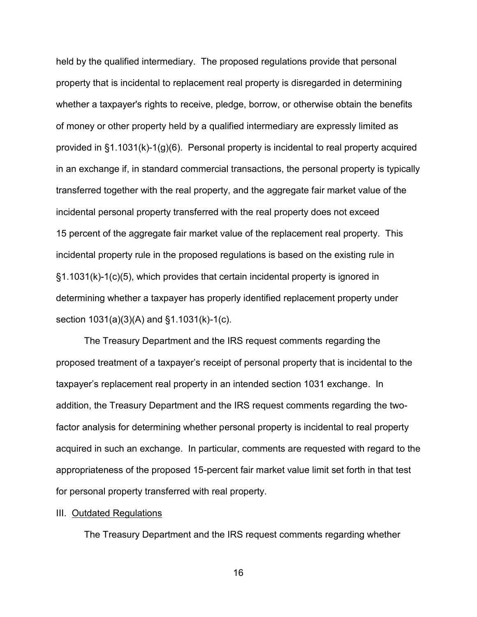held by the qualified intermediary. The proposed regulations provide that personal property that is incidental to replacement real property is disregarded in determining whether a taxpayer's rights to receive, pledge, borrow, or otherwise obtain the benefits of money or other property held by a qualified intermediary are expressly limited as provided in §1.1031(k)-1(g)(6). Personal property is incidental to real property acquired in an exchange if, in standard commercial transactions, the personal property is typically transferred together with the real property, and the aggregate fair market value of the incidental personal property transferred with the real property does not exceed 15 percent of the aggregate fair market value of the replacement real property. This incidental property rule in the proposed regulations is based on the existing rule in §1.1031(k)-1(c)(5), which provides that certain incidental property is ignored in determining whether a taxpayer has properly identified replacement property under section 1031(a)(3)(A) and §1.1031(k)-1(c).

 The Treasury Department and the IRS request comments regarding the proposed treatment of a taxpayer's receipt of personal property that is incidental to the taxpayer's replacement real property in an intended section 1031 exchange. In addition, the Treasury Department and the IRS request comments regarding the twofactor analysis for determining whether personal property is incidental to real property acquired in such an exchange. In particular, comments are requested with regard to the appropriateness of the proposed 15-percent fair market value limit set forth in that test for personal property transferred with real property.

### III. Outdated Regulations

The Treasury Department and the IRS request comments regarding whether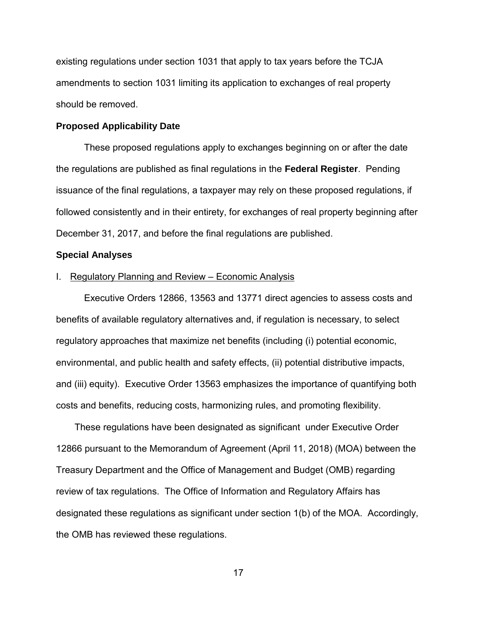existing regulations under section 1031 that apply to tax years before the TCJA amendments to section 1031 limiting its application to exchanges of real property should be removed.

### **Proposed Applicability Date**

These proposed regulations apply to exchanges beginning on or after the date the regulations are published as final regulations in the **Federal Register**. Pending issuance of the final regulations, a taxpayer may rely on these proposed regulations, if followed consistently and in their entirety, for exchanges of real property beginning after December 31, 2017, and before the final regulations are published.

### **Special Analyses**

#### I. Regulatory Planning and Review – Economic Analysis

Executive Orders 12866, 13563 and 13771 direct agencies to assess costs and benefits of available regulatory alternatives and, if regulation is necessary, to select regulatory approaches that maximize net benefits (including (i) potential economic, environmental, and public health and safety effects, (ii) potential distributive impacts, and (iii) equity). Executive Order 13563 emphasizes the importance of quantifying both costs and benefits, reducing costs, harmonizing rules, and promoting flexibility.

These regulations have been designated as significant under Executive Order 12866 pursuant to the Memorandum of Agreement (April 11, 2018) (MOA) between the Treasury Department and the Office of Management and Budget (OMB) regarding review of tax regulations. The Office of Information and Regulatory Affairs has designated these regulations as significant under section 1(b) of the MOA. Accordingly, the OMB has reviewed these regulations.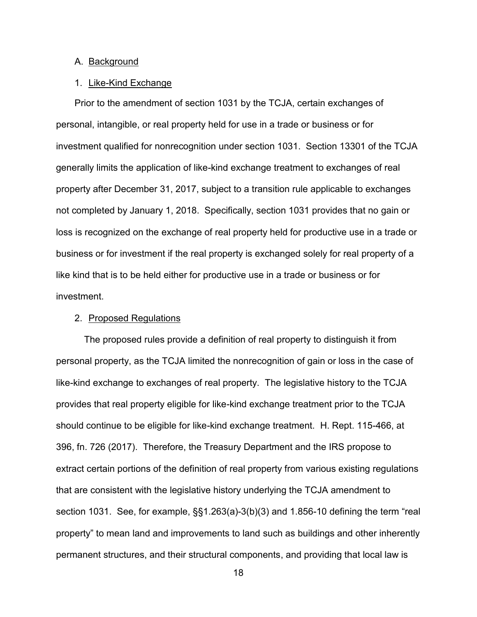### A. Background

### 1. Like-Kind Exchange

Prior to the amendment of section 1031 by the TCJA, certain exchanges of personal, intangible, or real property held for use in a trade or business or for investment qualified for nonrecognition under section 1031. Section 13301 of the TCJA generally limits the application of like-kind exchange treatment to exchanges of real property after December 31, 2017, subject to a transition rule applicable to exchanges not completed by January 1, 2018. Specifically, section 1031 provides that no gain or loss is recognized on the exchange of real property held for productive use in a trade or business or for investment if the real property is exchanged solely for real property of a like kind that is to be held either for productive use in a trade or business or for investment.

# 2. Proposed Regulations

The proposed rules provide a definition of real property to distinguish it from personal property, as the TCJA limited the nonrecognition of gain or loss in the case of like-kind exchange to exchanges of real property. The legislative history to the TCJA provides that real property eligible for like-kind exchange treatment prior to the TCJA should continue to be eligible for like-kind exchange treatment. H. Rept. 115-466, at 396, fn. 726 (2017). Therefore, the Treasury Department and the IRS propose to extract certain portions of the definition of real property from various existing regulations that are consistent with the legislative history underlying the TCJA amendment to section 1031. See, for example, §§1.263(a)-3(b)(3) and 1.856-10 defining the term "real property" to mean land and improvements to land such as buildings and other inherently permanent structures, and their structural components, and providing that local law is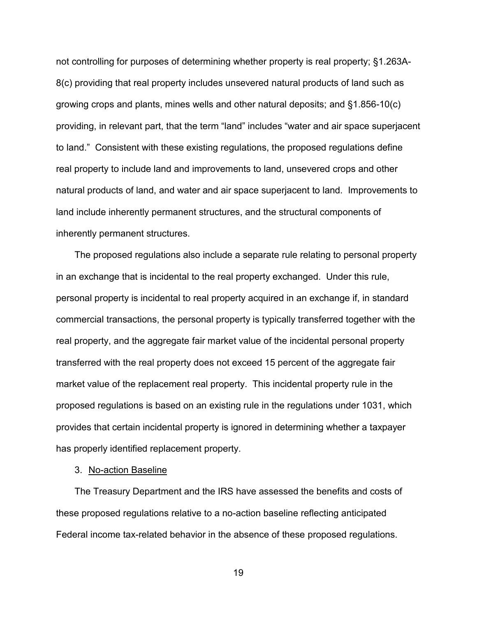not controlling for purposes of determining whether property is real property; §1.263A-8(c) providing that real property includes unsevered natural products of land such as growing crops and plants, mines wells and other natural deposits; and §1.856-10(c) providing, in relevant part, that the term "land" includes "water and air space superjacent to land." Consistent with these existing regulations, the proposed regulations define real property to include land and improvements to land, unsevered crops and other natural products of land, and water and air space superjacent to land. Improvements to land include inherently permanent structures, and the structural components of inherently permanent structures.

The proposed regulations also include a separate rule relating to personal property in an exchange that is incidental to the real property exchanged. Under this rule, personal property is incidental to real property acquired in an exchange if, in standard commercial transactions, the personal property is typically transferred together with the real property, and the aggregate fair market value of the incidental personal property transferred with the real property does not exceed 15 percent of the aggregate fair market value of the replacement real property. This incidental property rule in the proposed regulations is based on an existing rule in the regulations under 1031, which provides that certain incidental property is ignored in determining whether a taxpayer has properly identified replacement property.

# 3. No-action Baseline

The Treasury Department and the IRS have assessed the benefits and costs of these proposed regulations relative to a no-action baseline reflecting anticipated Federal income tax-related behavior in the absence of these proposed regulations.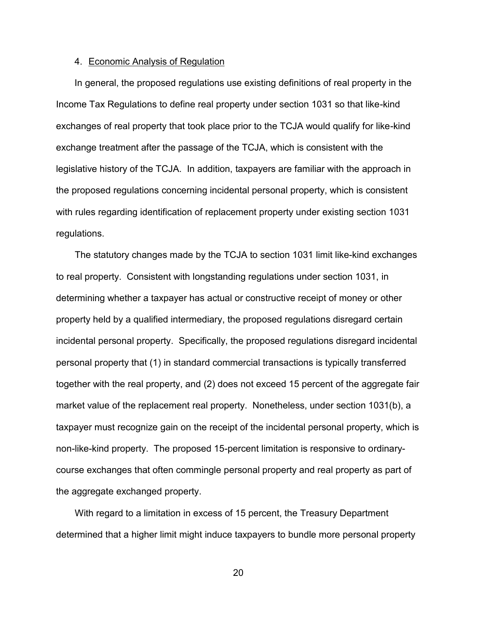### 4. Economic Analysis of Regulation

In general, the proposed regulations use existing definitions of real property in the Income Tax Regulations to define real property under section 1031 so that like-kind exchanges of real property that took place prior to the TCJA would qualify for like-kind exchange treatment after the passage of the TCJA, which is consistent with the legislative history of the TCJA. In addition, taxpayers are familiar with the approach in the proposed regulations concerning incidental personal property, which is consistent with rules regarding identification of replacement property under existing section 1031 regulations.

The statutory changes made by the TCJA to section 1031 limit like-kind exchanges to real property. Consistent with longstanding regulations under section 1031, in determining whether a taxpayer has actual or constructive receipt of money or other property held by a qualified intermediary, the proposed regulations disregard certain incidental personal property. Specifically, the proposed regulations disregard incidental personal property that (1) in standard commercial transactions is typically transferred together with the real property, and (2) does not exceed 15 percent of the aggregate fair market value of the replacement real property. Nonetheless, under section 1031(b), a taxpayer must recognize gain on the receipt of the incidental personal property, which is non-like-kind property. The proposed 15-percent limitation is responsive to ordinarycourse exchanges that often commingle personal property and real property as part of the aggregate exchanged property.

With regard to a limitation in excess of 15 percent, the Treasury Department determined that a higher limit might induce taxpayers to bundle more personal property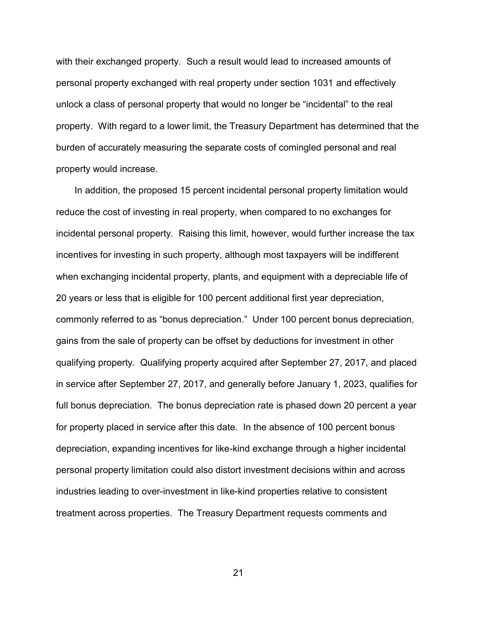with their exchanged property. Such a result would lead to increased amounts of personal property exchanged with real property under section 1031 and effectively unlock a class of personal property that would no longer be "incidental" to the real property. With regard to a lower limit, the Treasury Department has determined that the burden of accurately measuring the separate costs of comingled personal and real property would increase.

In addition, the proposed 15 percent incidental personal property limitation would reduce the cost of investing in real property, when compared to no exchanges for incidental personal property. Raising this limit, however, would further increase the tax incentives for investing in such property, although most taxpayers will be indifferent when exchanging incidental property, plants, and equipment with a depreciable life of 20 years or less that is eligible for 100 percent additional first year depreciation, commonly referred to as "bonus depreciation." Under 100 percent bonus depreciation, gains from the sale of property can be offset by deductions for investment in other qualifying property. Qualifying property acquired after September 27, 2017, and placed in service after September 27, 2017, and generally before January 1, 2023, qualifies for full bonus depreciation. The bonus depreciation rate is phased down 20 percent a year for property placed in service after this date. In the absence of 100 percent bonus depreciation, expanding incentives for like-kind exchange through a higher incidental personal property limitation could also distort investment decisions within and across industries leading to over-investment in like-kind properties relative to consistent treatment across properties. The Treasury Department requests comments and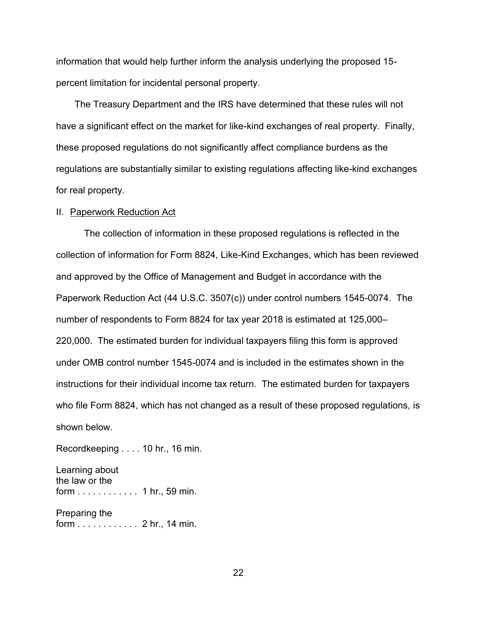information that would help further inform the analysis underlying the proposed 15 percent limitation for incidental personal property.

The Treasury Department and the IRS have determined that these rules will not have a significant effect on the market for like-kind exchanges of real property. Finally, these proposed regulations do not significantly affect compliance burdens as the regulations are substantially similar to existing regulations affecting like-kind exchanges for real property.

### II. Paperwork Reduction Act

The collection of information in these proposed regulations is reflected in the collection of information for Form 8824, Like-Kind Exchanges, which has been reviewed and approved by the Office of Management and Budget in accordance with the Paperwork Reduction Act (44 U.S.C. 3507(c)) under control numbers 1545-0074. The number of respondents to Form 8824 for tax year 2018 is estimated at 125,000– 220,000. The estimated burden for individual taxpayers filing this form is approved under OMB control number 1545-0074 and is included in the estimates shown in the instructions for their individual income tax return. The estimated burden for taxpayers who file Form 8824, which has not changed as a result of these proposed regulations, is shown below.

Recordkeeping . . . . 10 hr., 16 min.

Learning about the law or the form . . . . . . . . . . . . 1 hr., 59 min.

Preparing the form . . . . . . . . . . . . 2 hr., 14 min.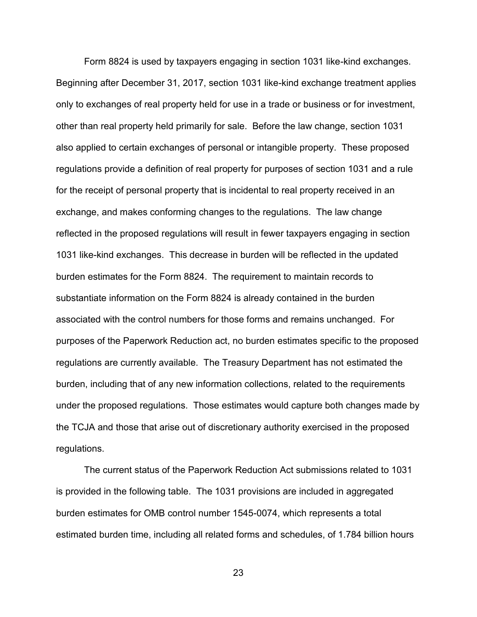Form 8824 is used by taxpayers engaging in section 1031 like-kind exchanges. Beginning after December 31, 2017, section 1031 like-kind exchange treatment applies only to exchanges of real property held for use in a trade or business or for investment, other than real property held primarily for sale. Before the law change, section 1031 also applied to certain exchanges of personal or intangible property. These proposed regulations provide a definition of real property for purposes of section 1031 and a rule for the receipt of personal property that is incidental to real property received in an exchange, and makes conforming changes to the regulations. The law change reflected in the proposed regulations will result in fewer taxpayers engaging in section 1031 like-kind exchanges. This decrease in burden will be reflected in the updated burden estimates for the Form 8824. The requirement to maintain records to substantiate information on the Form 8824 is already contained in the burden associated with the control numbers for those forms and remains unchanged. For purposes of the Paperwork Reduction act, no burden estimates specific to the proposed regulations are currently available. The Treasury Department has not estimated the burden, including that of any new information collections, related to the requirements under the proposed regulations. Those estimates would capture both changes made by the TCJA and those that arise out of discretionary authority exercised in the proposed regulations.

The current status of the Paperwork Reduction Act submissions related to 1031 is provided in the following table. The 1031 provisions are included in aggregated burden estimates for OMB control number 1545-0074, which represents a total estimated burden time, including all related forms and schedules, of 1.784 billion hours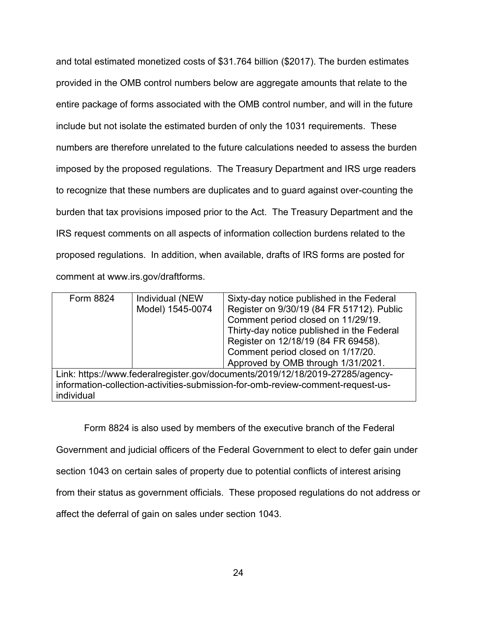and total estimated monetized costs of \$31.764 billion (\$2017). The burden estimates provided in the OMB control numbers below are aggregate amounts that relate to the entire package of forms associated with the OMB control number, and will in the future include but not isolate the estimated burden of only the 1031 requirements. These numbers are therefore unrelated to the future calculations needed to assess the burden imposed by the proposed regulations. The Treasury Department and IRS urge readers to recognize that these numbers are duplicates and to guard against over-counting the burden that tax provisions imposed prior to the Act. The Treasury Department and the IRS request comments on all aspects of information collection burdens related to the proposed regulations. In addition, when available, drafts of IRS forms are posted for comment at www.irs.gov/draftforms.

| Form 8824                                                                       | Individual (NEW  | Sixty-day notice published in the Federal  |
|---------------------------------------------------------------------------------|------------------|--------------------------------------------|
|                                                                                 | Model) 1545-0074 | Register on 9/30/19 (84 FR 51712). Public  |
|                                                                                 |                  | Comment period closed on 11/29/19.         |
|                                                                                 |                  | Thirty-day notice published in the Federal |
|                                                                                 |                  | Register on 12/18/19 (84 FR 69458).        |
|                                                                                 |                  | Comment period closed on 1/17/20.          |
|                                                                                 |                  | Approved by OMB through 1/31/2021.         |
| Link: https://www.federalregister.gov/documents/2019/12/18/2019-27285/agency-   |                  |                                            |
| information-collection-activities-submission-for-omb-review-comment-request-us- |                  |                                            |
| individual                                                                      |                  |                                            |
|                                                                                 |                  |                                            |

Form 8824 is also used by members of the executive branch of the Federal

Government and judicial officers of the Federal Government to elect to defer gain under

section 1043 on certain sales of property due to potential conflicts of interest arising

from their status as government officials. These proposed regulations do not address or

affect the deferral of gain on sales under section 1043.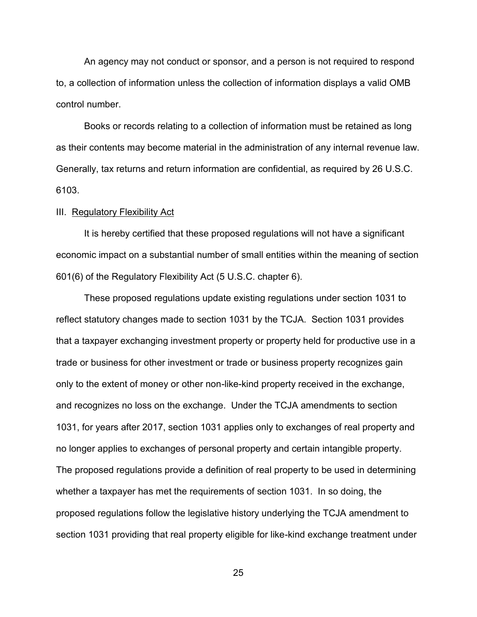An agency may not conduct or sponsor, and a person is not required to respond to, a collection of information unless the collection of information displays a valid OMB control number.

Books or records relating to a collection of information must be retained as long as their contents may become material in the administration of any internal revenue law. Generally, tax returns and return information are confidential, as required by 26 U.S.C. 6103.

### III. Regulatory Flexibility Act

It is hereby certified that these proposed regulations will not have a significant economic impact on a substantial number of small entities within the meaning of section 601(6) of the Regulatory Flexibility Act (5 U.S.C. chapter 6).

These proposed regulations update existing regulations under section 1031 to reflect statutory changes made to section 1031 by the TCJA. Section 1031 provides that a taxpayer exchanging investment property or property held for productive use in a trade or business for other investment or trade or business property recognizes gain only to the extent of money or other non-like-kind property received in the exchange, and recognizes no loss on the exchange. Under the TCJA amendments to section 1031, for years after 2017, section 1031 applies only to exchanges of real property and no longer applies to exchanges of personal property and certain intangible property. The proposed regulations provide a definition of real property to be used in determining whether a taxpayer has met the requirements of section 1031. In so doing, the proposed regulations follow the legislative history underlying the TCJA amendment to section 1031 providing that real property eligible for like-kind exchange treatment under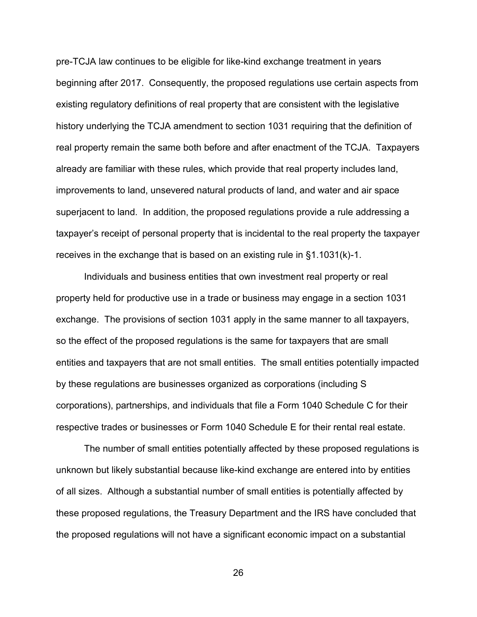pre-TCJA law continues to be eligible for like-kind exchange treatment in years beginning after 2017. Consequently, the proposed regulations use certain aspects from existing regulatory definitions of real property that are consistent with the legislative history underlying the TCJA amendment to section 1031 requiring that the definition of real property remain the same both before and after enactment of the TCJA. Taxpayers already are familiar with these rules, which provide that real property includes land, improvements to land, unsevered natural products of land, and water and air space superjacent to land. In addition, the proposed regulations provide a rule addressing a taxpayer's receipt of personal property that is incidental to the real property the taxpayer receives in the exchange that is based on an existing rule in §1.1031(k)-1.

Individuals and business entities that own investment real property or real property held for productive use in a trade or business may engage in a section 1031 exchange. The provisions of section 1031 apply in the same manner to all taxpayers, so the effect of the proposed regulations is the same for taxpayers that are small entities and taxpayers that are not small entities. The small entities potentially impacted by these regulations are businesses organized as corporations (including S corporations), partnerships, and individuals that file a Form 1040 Schedule C for their respective trades or businesses or Form 1040 Schedule E for their rental real estate.

The number of small entities potentially affected by these proposed regulations is unknown but likely substantial because like-kind exchange are entered into by entities of all sizes. Although a substantial number of small entities is potentially affected by these proposed regulations, the Treasury Department and the IRS have concluded that the proposed regulations will not have a significant economic impact on a substantial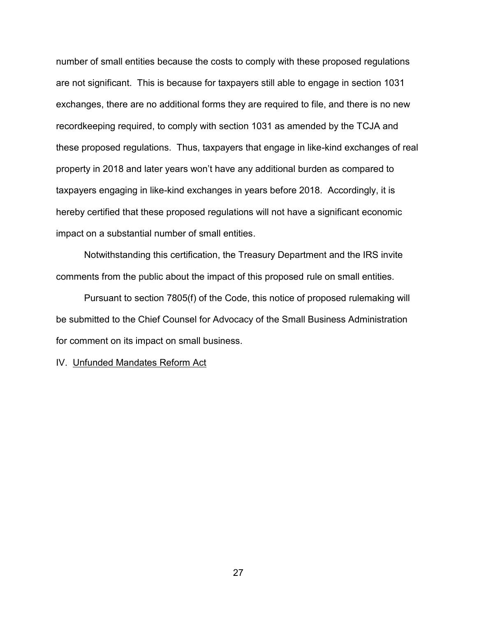number of small entities because the costs to comply with these proposed regulations are not significant. This is because for taxpayers still able to engage in section 1031 exchanges, there are no additional forms they are required to file, and there is no new recordkeeping required, to comply with section 1031 as amended by the TCJA and these proposed regulations. Thus, taxpayers that engage in like-kind exchanges of real property in 2018 and later years won't have any additional burden as compared to taxpayers engaging in like-kind exchanges in years before 2018. Accordingly, it is hereby certified that these proposed regulations will not have a significant economic impact on a substantial number of small entities.

Notwithstanding this certification, the Treasury Department and the IRS invite comments from the public about the impact of this proposed rule on small entities.

Pursuant to section 7805(f) of the Code, this notice of proposed rulemaking will be submitted to the Chief Counsel for Advocacy of the Small Business Administration for comment on its impact on small business.

IV. Unfunded Mandates Reform Act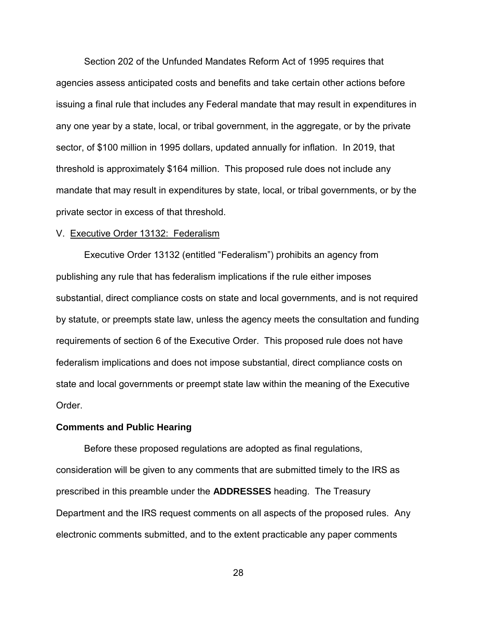Section 202 of the Unfunded Mandates Reform Act of 1995 requires that agencies assess anticipated costs and benefits and take certain other actions before issuing a final rule that includes any Federal mandate that may result in expenditures in any one year by a state, local, or tribal government, in the aggregate, or by the private sector, of \$100 million in 1995 dollars, updated annually for inflation. In 2019, that threshold is approximately \$164 million. This proposed rule does not include any mandate that may result in expenditures by state, local, or tribal governments, or by the private sector in excess of that threshold.

### V. Executive Order 13132: Federalism

Executive Order 13132 (entitled "Federalism") prohibits an agency from publishing any rule that has federalism implications if the rule either imposes substantial, direct compliance costs on state and local governments, and is not required by statute, or preempts state law, unless the agency meets the consultation and funding requirements of section 6 of the Executive Order. This proposed rule does not have federalism implications and does not impose substantial, direct compliance costs on state and local governments or preempt state law within the meaning of the Executive Order.

### **Comments and Public Hearing**

Before these proposed regulations are adopted as final regulations, consideration will be given to any comments that are submitted timely to the IRS as prescribed in this preamble under the **ADDRESSES** heading. The Treasury Department and the IRS request comments on all aspects of the proposed rules. Any electronic comments submitted, and to the extent practicable any paper comments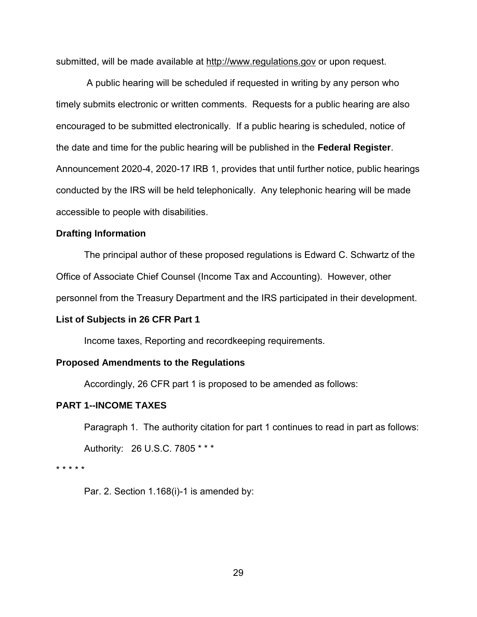submitted, will be made available at http://www.regulations.gov or upon request.

 A public hearing will be scheduled if requested in writing by any person who timely submits electronic or written comments. Requests for a public hearing are also encouraged to be submitted electronically. If a public hearing is scheduled, notice of the date and time for the public hearing will be published in the **Federal Register**. Announcement 2020-4, 2020-17 IRB 1, provides that until further notice, public hearings conducted by the IRS will be held telephonically. Any telephonic hearing will be made accessible to people with disabilities.

### **Drafting Information**

The principal author of these proposed regulations is Edward C. Schwartz of the Office of Associate Chief Counsel (Income Tax and Accounting). However, other

personnel from the Treasury Department and the IRS participated in their development.

### **List of Subjects in 26 CFR Part 1**

Income taxes, Reporting and recordkeeping requirements.

### **Proposed Amendments to the Regulations**

Accordingly, 26 CFR part 1 is proposed to be amended as follows:

# **PART 1--INCOME TAXES**

Paragraph 1. The authority citation for part 1 continues to read in part as follows:

Authority: 26 U.S.C. 7805 \* \* \*

\* \* \* \* \*

Par. 2. Section 1.168(i)-1 is amended by: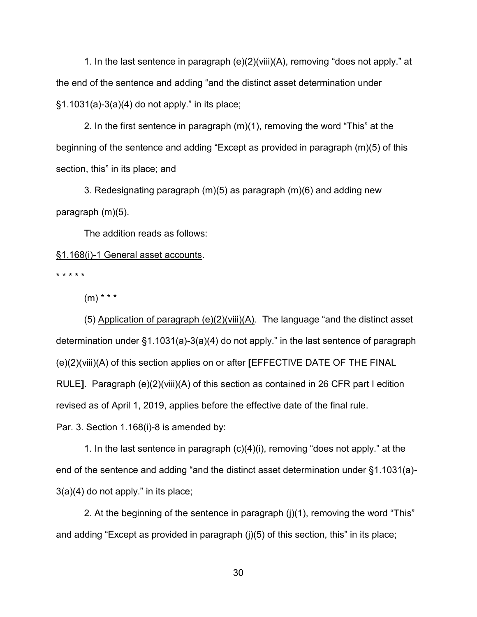1. In the last sentence in paragraph (e)(2)(viii)(A), removing "does not apply." at the end of the sentence and adding "and the distinct asset determination under §1.1031(a)-3(a)(4) do not apply." in its place;

 2. In the first sentence in paragraph (m)(1), removing the word "This" at the beginning of the sentence and adding "Except as provided in paragraph (m)(5) of this section, this" in its place; and

 3. Redesignating paragraph (m)(5) as paragraph (m)(6) and adding new paragraph (m)(5).

The addition reads as follows:

# §1.168(i)-1 General asset accounts.

\* \* \* \* \*

 $(m)$  \* \* \*

 (5) Application of paragraph (e)(2)(viii)(A). The language "and the distinct asset determination under §1.1031(a)-3(a)(4) do not apply." in the last sentence of paragraph (e)(2)(viii)(A) of this section applies on or after **[**EFFECTIVE DATE OF THE FINAL RULE**]**. Paragraph (e)(2)(viii)(A) of this section as contained in 26 CFR part I edition revised as of April 1, 2019, applies before the effective date of the final rule. Par. 3. Section 1.168(i)-8 is amended by:

 1. In the last sentence in paragraph (c)(4)(i), removing "does not apply." at the end of the sentence and adding "and the distinct asset determination under §1.1031(a)- 3(a)(4) do not apply." in its place;

 2. At the beginning of the sentence in paragraph (j)(1), removing the word "This" and adding "Except as provided in paragraph (j)(5) of this section, this" in its place;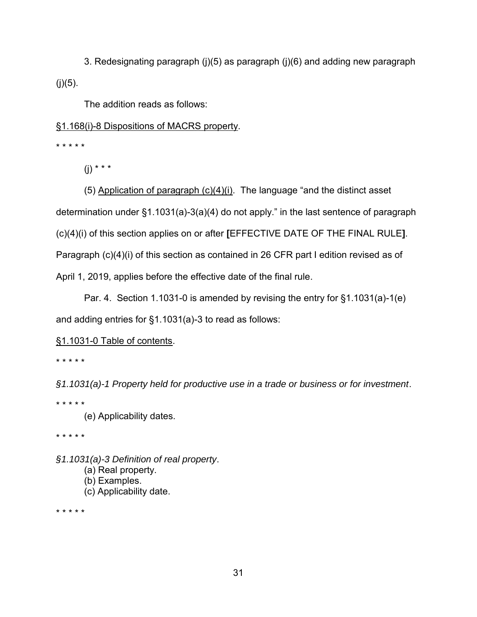3. Redesignating paragraph (j)(5) as paragraph (j)(6) and adding new paragraph  $(j)(5)$ .

The addition reads as follows:

# §1.168(i)-8 Dispositions of MACRS property.

\* \* \* \* \*

(j) \* \* \*

(5) Application of paragraph  $(c)(4)(i)$ . The language "and the distinct asset determination under §1.1031(a)-3(a)(4) do not apply." in the last sentence of paragraph (c)(4)(i) of this section applies on or after **[**EFFECTIVE DATE OF THE FINAL RULE**]**. Paragraph (c)(4)(i) of this section as contained in 26 CFR part I edition revised as of April 1, 2019, applies before the effective date of the final rule.

 Par. 4. Section 1.1031-0 is amended by revising the entry for §1.1031(a)-1(e) and adding entries for §1.1031(a)-3 to read as follows:

§1.1031-0 Table of contents.

\* \* \* \* \*

*§1.1031(a)-1 Property held for productive use in a trade or business or for investment*.

\* \* \* \* \*

(e) Applicability dates.

\* \* \* \* \*

*§1.1031(a)-3 Definition of real property*. (a) Real property. (b) Examples. (c) Applicability date.

\* \* \* \* \*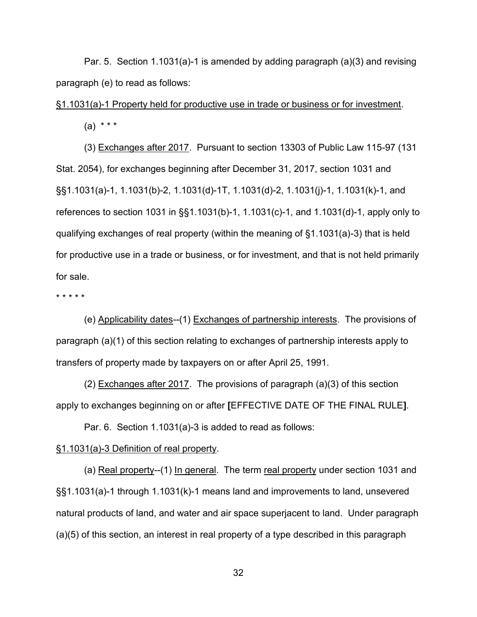Par. 5. Section 1.1031(a)-1 is amended by adding paragraph (a)(3) and revising paragraph (e) to read as follows:

§1.1031(a)-1 Property held for productive use in trade or business or for investment.

 $(a) * * * *$ 

 (3) Exchanges after 2017. Pursuant to section 13303 of Public Law 115-97 (131 Stat. 2054), for exchanges beginning after December 31, 2017, section 1031 and §§1.1031(a)-1, 1.1031(b)-2, 1.1031(d)-1T, 1.1031(d)-2, 1.1031(j)-1, 1.1031(k)-1, and references to section 1031 in §§1.1031(b)-1, 1.1031(c)-1, and 1.1031(d)-1, apply only to qualifying exchanges of real property (within the meaning of §1.1031(a)-3) that is held for productive use in a trade or business, or for investment, and that is not held primarily for sale.

\* \* \* \* \*

(e) Applicability dates--(1) Exchanges of partnership interests. The provisions of paragraph (a)(1) of this section relating to exchanges of partnership interests apply to transfers of property made by taxpayers on or after April 25, 1991.

(2) Exchanges after 2017. The provisions of paragraph (a)(3) of this section apply to exchanges beginning on or after **[**EFFECTIVE DATE OF THE FINAL RULE**]**.

Par. 6. Section 1.1031(a)-3 is added to read as follows:

# §1.1031(a)-3 Definition of real property.

(a) Real property--(1) In general. The term real property under section 1031 and §§1.1031(a)-1 through 1.1031(k)-1 means land and improvements to land, unsevered natural products of land, and water and air space superjacent to land. Under paragraph (a)(5) of this section, an interest in real property of a type described in this paragraph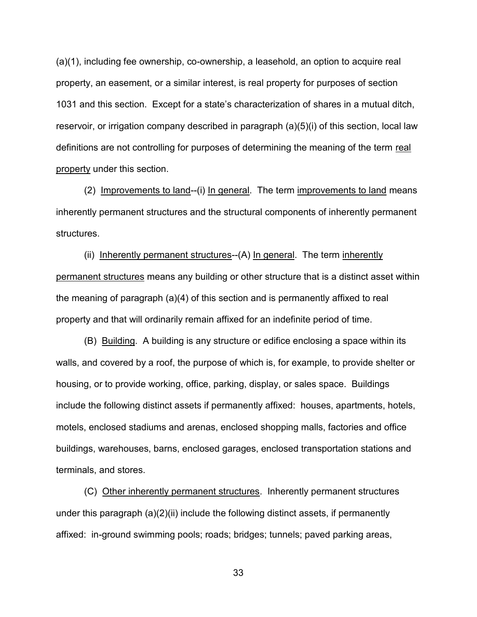(a)(1), including fee ownership, co-ownership, a leasehold, an option to acquire real property, an easement, or a similar interest, is real property for purposes of section 1031 and this section. Except for a state's characterization of shares in a mutual ditch, reservoir, or irrigation company described in paragraph (a)(5)(i) of this section, local law definitions are not controlling for purposes of determining the meaning of the term real property under this section.

(2) Improvements to land--(i) In general. The term improvements to land means inherently permanent structures and the structural components of inherently permanent structures.

(ii) Inherently permanent structures--(A) In general. The term inherently permanent structures means any building or other structure that is a distinct asset within the meaning of paragraph (a)(4) of this section and is permanently affixed to real property and that will ordinarily remain affixed for an indefinite period of time.

(B) Building. A building is any structure or edifice enclosing a space within its walls, and covered by a roof, the purpose of which is, for example, to provide shelter or housing, or to provide working, office, parking, display, or sales space. Buildings include the following distinct assets if permanently affixed: houses, apartments, hotels, motels, enclosed stadiums and arenas, enclosed shopping malls, factories and office buildings, warehouses, barns, enclosed garages, enclosed transportation stations and terminals, and stores.

(C) Other inherently permanent structures. Inherently permanent structures under this paragraph  $(a)(2)(ii)$  include the following distinct assets, if permanently affixed: in-ground swimming pools; roads; bridges; tunnels; paved parking areas,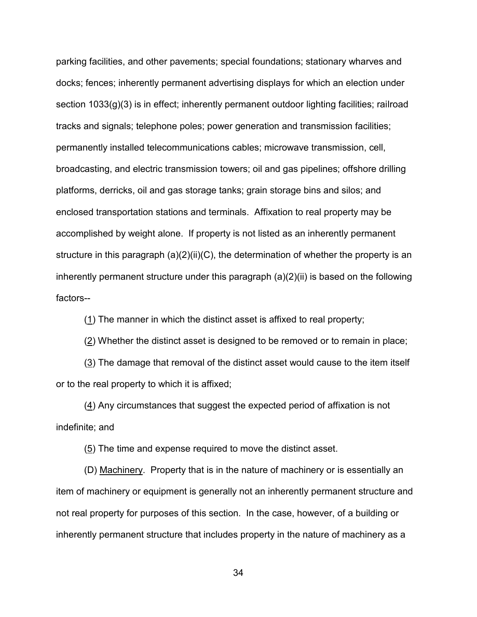parking facilities, and other pavements; special foundations; stationary wharves and docks; fences; inherently permanent advertising displays for which an election under section 1033(g)(3) is in effect; inherently permanent outdoor lighting facilities; railroad tracks and signals; telephone poles; power generation and transmission facilities; permanently installed telecommunications cables; microwave transmission, cell, broadcasting, and electric transmission towers; oil and gas pipelines; offshore drilling platforms, derricks, oil and gas storage tanks; grain storage bins and silos; and enclosed transportation stations and terminals. Affixation to real property may be accomplished by weight alone. If property is not listed as an inherently permanent structure in this paragraph  $(a)(2)(ii)(C)$ , the determination of whether the property is an inherently permanent structure under this paragraph (a)(2)(ii) is based on the following factors--

(1) The manner in which the distinct asset is affixed to real property;

(2) Whether the distinct asset is designed to be removed or to remain in place;

 $(3)$  The damage that removal of the distinct asset would cause to the item itself or to the real property to which it is affixed;

 $(4)$  Any circumstances that suggest the expected period of affixation is not indefinite; and

(5) The time and expense required to move the distinct asset.

(D) Machinery. Property that is in the nature of machinery or is essentially an item of machinery or equipment is generally not an inherently permanent structure and not real property for purposes of this section. In the case, however, of a building or inherently permanent structure that includes property in the nature of machinery as a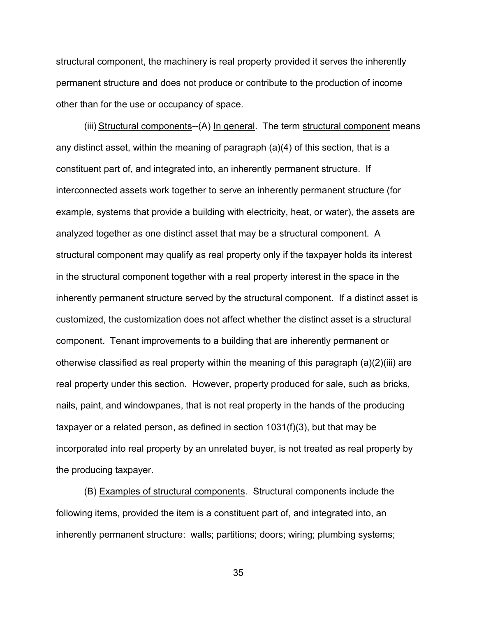structural component, the machinery is real property provided it serves the inherently permanent structure and does not produce or contribute to the production of income other than for the use or occupancy of space.

(iii) Structural components--(A) In general. The term structural component means any distinct asset, within the meaning of paragraph (a)(4) of this section, that is a constituent part of, and integrated into, an inherently permanent structure. If interconnected assets work together to serve an inherently permanent structure (for example, systems that provide a building with electricity, heat, or water), the assets are analyzed together as one distinct asset that may be a structural component. A structural component may qualify as real property only if the taxpayer holds its interest in the structural component together with a real property interest in the space in the inherently permanent structure served by the structural component. If a distinct asset is customized, the customization does not affect whether the distinct asset is a structural component. Tenant improvements to a building that are inherently permanent or otherwise classified as real property within the meaning of this paragraph (a)(2)(iii) are real property under this section. However, property produced for sale, such as bricks, nails, paint, and windowpanes, that is not real property in the hands of the producing taxpayer or a related person, as defined in section 1031(f)(3), but that may be incorporated into real property by an unrelated buyer, is not treated as real property by the producing taxpayer.

(B) Examples of structural components. Structural components include the following items, provided the item is a constituent part of, and integrated into, an inherently permanent structure: walls; partitions; doors; wiring; plumbing systems;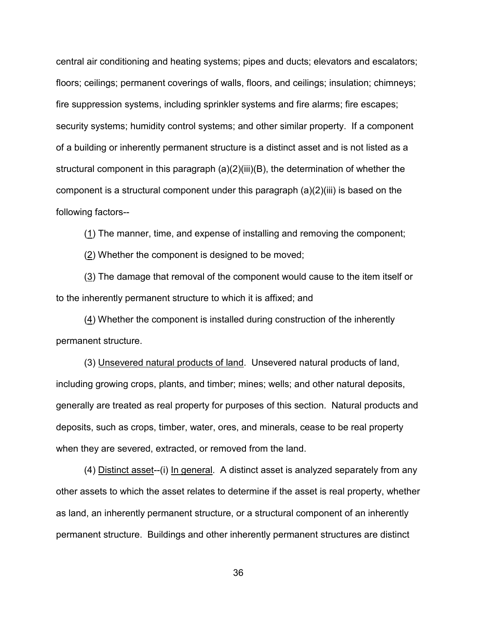central air conditioning and heating systems; pipes and ducts; elevators and escalators; floors; ceilings; permanent coverings of walls, floors, and ceilings; insulation; chimneys; fire suppression systems, including sprinkler systems and fire alarms; fire escapes; security systems; humidity control systems; and other similar property. If a component of a building or inherently permanent structure is a distinct asset and is not listed as a structural component in this paragraph (a)(2)(iii)(B), the determination of whether the component is a structural component under this paragraph  $(a)(2)(iii)$  is based on the following factors--

(1) The manner, time, and expense of installing and removing the component;

(2) Whether the component is designed to be moved;

 $(3)$  The damage that removal of the component would cause to the item itself or to the inherently permanent structure to which it is affixed; and

(4) Whether the component is installed during construction of the inherently permanent structure.

 (3) Unsevered natural products of land. Unsevered natural products of land, including growing crops, plants, and timber; mines; wells; and other natural deposits, generally are treated as real property for purposes of this section. Natural products and deposits, such as crops, timber, water, ores, and minerals, cease to be real property when they are severed, extracted, or removed from the land.

 (4) Distinct asset--(i) In general. A distinct asset is analyzed separately from any other assets to which the asset relates to determine if the asset is real property, whether as land, an inherently permanent structure, or a structural component of an inherently permanent structure. Buildings and other inherently permanent structures are distinct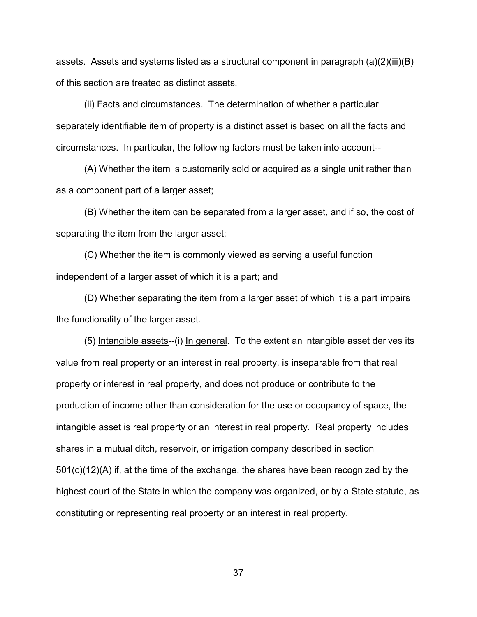assets. Assets and systems listed as a structural component in paragraph (a)(2)(iii)(B) of this section are treated as distinct assets.

(ii) Facts and circumstances. The determination of whether a particular separately identifiable item of property is a distinct asset is based on all the facts and circumstances. In particular, the following factors must be taken into account--

(A) Whether the item is customarily sold or acquired as a single unit rather than as a component part of a larger asset;

(B) Whether the item can be separated from a larger asset, and if so, the cost of separating the item from the larger asset;

(C) Whether the item is commonly viewed as serving a useful function independent of a larger asset of which it is a part; and

(D) Whether separating the item from a larger asset of which it is a part impairs the functionality of the larger asset.

(5) Intangible assets--(i) In general. To the extent an intangible asset derives its value from real property or an interest in real property, is inseparable from that real property or interest in real property, and does not produce or contribute to the production of income other than consideration for the use or occupancy of space, the intangible asset is real property or an interest in real property. Real property includes shares in a mutual ditch, reservoir, or irrigation company described in section 501(c)(12)(A) if, at the time of the exchange, the shares have been recognized by the highest court of the State in which the company was organized, or by a State statute, as constituting or representing real property or an interest in real property.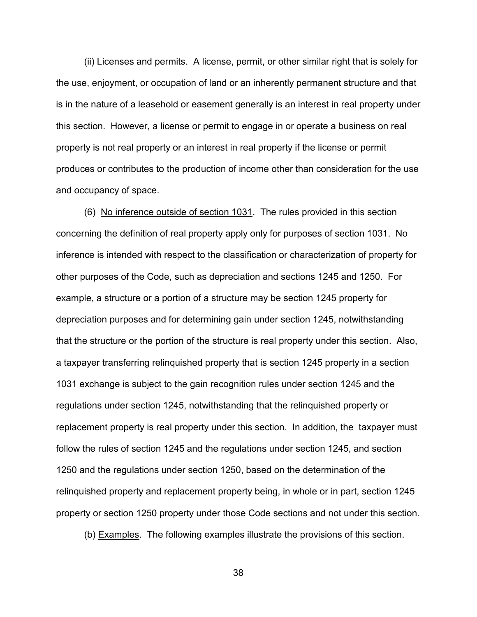(ii) Licenses and permits. A license, permit, or other similar right that is solely for the use, enjoyment, or occupation of land or an inherently permanent structure and that is in the nature of a leasehold or easement generally is an interest in real property under this section. However, a license or permit to engage in or operate a business on real property is not real property or an interest in real property if the license or permit produces or contributes to the production of income other than consideration for the use and occupancy of space.

(6) No inference outside of section 1031. The rules provided in this section concerning the definition of real property apply only for purposes of section 1031. No inference is intended with respect to the classification or characterization of property for other purposes of the Code, such as depreciation and sections 1245 and 1250. For example, a structure or a portion of a structure may be section 1245 property for depreciation purposes and for determining gain under section 1245, notwithstanding that the structure or the portion of the structure is real property under this section. Also, a taxpayer transferring relinquished property that is section 1245 property in a section 1031 exchange is subject to the gain recognition rules under section 1245 and the regulations under section 1245, notwithstanding that the relinquished property or replacement property is real property under this section. In addition, the taxpayer must follow the rules of section 1245 and the regulations under section 1245, and section 1250 and the regulations under section 1250, based on the determination of the relinquished property and replacement property being, in whole or in part, section 1245 property or section 1250 property under those Code sections and not under this section.

(b) Examples. The following examples illustrate the provisions of this section.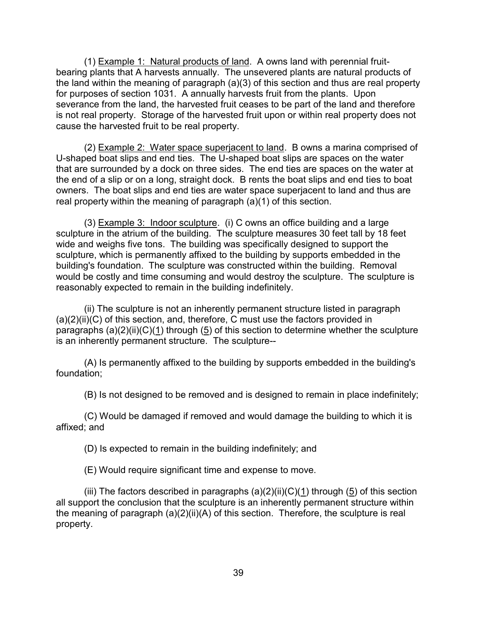(1) Example 1: Natural products of land. A owns land with perennial fruitbearing plants that A harvests annually. The unsevered plants are natural products of the land within the meaning of paragraph (a)(3) of this section and thus are real property for purposes of section 1031. A annually harvests fruit from the plants. Upon severance from the land, the harvested fruit ceases to be part of the land and therefore is not real property. Storage of the harvested fruit upon or within real property does not cause the harvested fruit to be real property.

(2) Example 2: Water space superjacent to land. B owns a marina comprised of U-shaped boat slips and end ties. The U-shaped boat slips are spaces on the water that are surrounded by a dock on three sides. The end ties are spaces on the water at the end of a slip or on a long, straight dock. B rents the boat slips and end ties to boat owners. The boat slips and end ties are water space superjacent to land and thus are real property within the meaning of paragraph (a)(1) of this section.

(3) Example 3: Indoor sculpture. (i) C owns an office building and a large sculpture in the atrium of the building. The sculpture measures 30 feet tall by 18 feet wide and weighs five tons. The building was specifically designed to support the sculpture, which is permanently affixed to the building by supports embedded in the building's foundation. The sculpture was constructed within the building. Removal would be costly and time consuming and would destroy the sculpture. The sculpture is reasonably expected to remain in the building indefinitely.

(ii) The sculpture is not an inherently permanent structure listed in paragraph  $(a)(2)(ii)(C)$  of this section, and, therefore, C must use the factors provided in paragraphs  $(a)(2)(ii)(C)(1)$  through (5) of this section to determine whether the sculpture is an inherently permanent structure. The sculpture--

(A) Is permanently affixed to the building by supports embedded in the building's foundation;

(B) Is not designed to be removed and is designed to remain in place indefinitely;

(C) Would be damaged if removed and would damage the building to which it is affixed; and

(D) Is expected to remain in the building indefinitely; and

(E) Would require significant time and expense to move.

(iii) The factors described in paragraphs  $(a)(2)(ii)(C)(1)$  through  $(5)$  of this section all support the conclusion that the sculpture is an inherently permanent structure within the meaning of paragraph (a)(2)(ii)(A) of this section. Therefore, the sculpture is real property.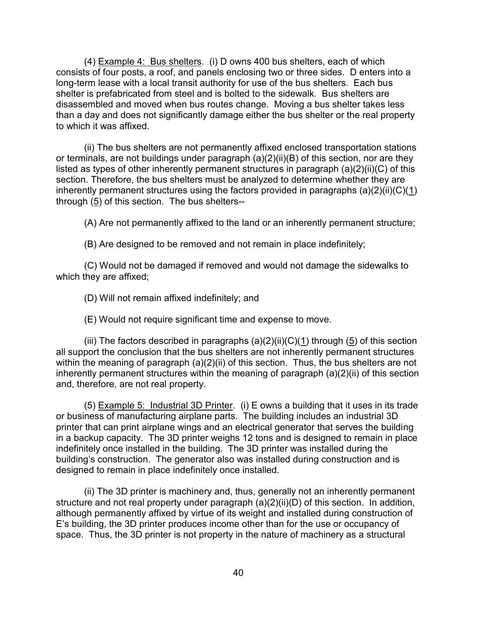(4) Example 4: Bus shelters. (i) D owns 400 bus shelters, each of which consists of four posts, a roof, and panels enclosing two or three sides. D enters into a long-term lease with a local transit authority for use of the bus shelters. Each bus shelter is prefabricated from steel and is bolted to the sidewalk. Bus shelters are disassembled and moved when bus routes change. Moving a bus shelter takes less than a day and does not significantly damage either the bus shelter or the real property to which it was affixed.

(ii) The bus shelters are not permanently affixed enclosed transportation stations or terminals, are not buildings under paragraph (a)(2)(ii)(B) of this section, nor are they listed as types of other inherently permanent structures in paragraph (a)(2)(ii)(C) of this section. Therefore, the bus shelters must be analyzed to determine whether they are inherently permanent structures using the factors provided in paragraphs  $(a)(2)(ii)(C)(1)$ through  $(5)$  of this section. The bus shelters--

(A) Are not permanently affixed to the land or an inherently permanent structure;

(B) Are designed to be removed and not remain in place indefinitely;

(C) Would not be damaged if removed and would not damage the sidewalks to which they are affixed;

(D) Will not remain affixed indefinitely; and

(E) Would not require significant time and expense to move.

(iii) The factors described in paragraphs  $(a)(2)(ii)(C)(1)$  through (5) of this section all support the conclusion that the bus shelters are not inherently permanent structures within the meaning of paragraph (a)(2)(ii) of this section. Thus, the bus shelters are not inherently permanent structures within the meaning of paragraph (a)(2)(ii) of this section and, therefore, are not real property.

(5) Example 5: Industrial 3D Printer. (i) E owns a building that it uses in its trade or business of manufacturing airplane parts. The building includes an industrial 3D printer that can print airplane wings and an electrical generator that serves the building in a backup capacity. The 3D printer weighs 12 tons and is designed to remain in place indefinitely once installed in the building. The 3D printer was installed during the building's construction. The generator also was installed during construction and is designed to remain in place indefinitely once installed.

(ii) The 3D printer is machinery and, thus, generally not an inherently permanent structure and not real property under paragraph  $(a)(2)(ii)(D)$  of this section. In addition, although permanently affixed by virtue of its weight and installed during construction of E's building, the 3D printer produces income other than for the use or occupancy of space. Thus, the 3D printer is not property in the nature of machinery as a structural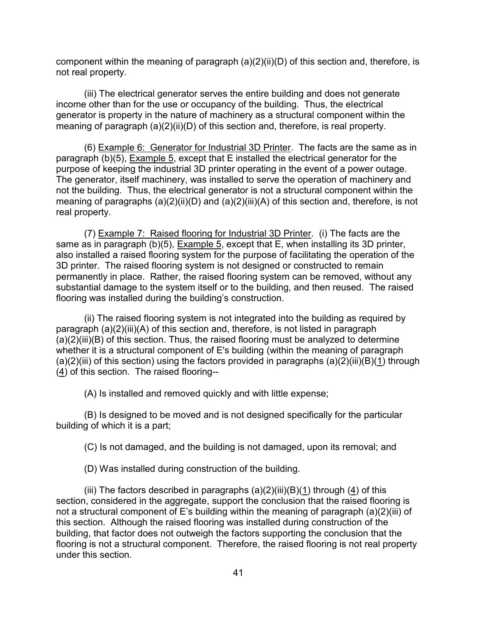component within the meaning of paragraph (a)(2)(ii)(D) of this section and, therefore, is not real property.

(iii) The electrical generator serves the entire building and does not generate income other than for the use or occupancy of the building. Thus, the electrical generator is property in the nature of machinery as a structural component within the meaning of paragraph (a)(2)(ii)(D) of this section and, therefore, is real property.

(6) Example 6: Generator for Industrial 3D Printer. The facts are the same as in paragraph (b)(5), Example 5, except that E installed the electrical generator for the purpose of keeping the industrial 3D printer operating in the event of a power outage. The generator, itself machinery, was installed to serve the operation of machinery and not the building. Thus, the electrical generator is not a structural component within the meaning of paragraphs (a)(2)(ii)(D) and (a)(2)(iii)(A) of this section and, therefore, is not real property.

(7) Example 7: Raised flooring for Industrial 3D Printer. (i) The facts are the same as in paragraph (b)(5), Example 5, except that E, when installing its 3D printer, also installed a raised flooring system for the purpose of facilitating the operation of the 3D printer. The raised flooring system is not designed or constructed to remain permanently in place. Rather, the raised flooring system can be removed, without any substantial damage to the system itself or to the building, and then reused. The raised flooring was installed during the building's construction.

(ii) The raised flooring system is not integrated into the building as required by paragraph (a)(2)(iii)(A) of this section and, therefore, is not listed in paragraph  $(a)(2)(iii)(B)$  of this section. Thus, the raised flooring must be analyzed to determine whether it is a structural component of E's building (within the meaning of paragraph  $(a)(2)(iii)$  of this section) using the factors provided in paragraphs  $(a)(2)(iii)(B)(1)$  through  $(4)$  of this section. The raised flooring--

(A) Is installed and removed quickly and with little expense;

(B) Is designed to be moved and is not designed specifically for the particular building of which it is a part;

(C) Is not damaged, and the building is not damaged, upon its removal; and

(D) Was installed during construction of the building.

(iii) The factors described in paragraphs  $(a)(2)(iii)(B)(1)$  through  $(4)$  of this section, considered in the aggregate, support the conclusion that the raised flooring is not a structural component of E's building within the meaning of paragraph (a)(2)(iii) of this section. Although the raised flooring was installed during construction of the building, that factor does not outweigh the factors supporting the conclusion that the flooring is not a structural component. Therefore, the raised flooring is not real property under this section.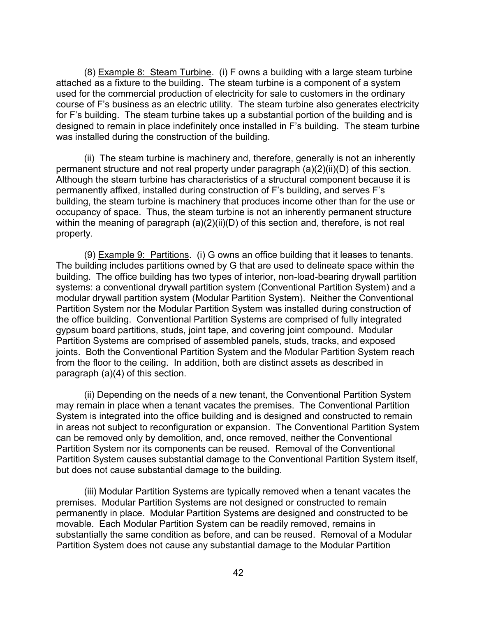(8) Example 8: Steam Turbine. (i) F owns a building with a large steam turbine attached as a fixture to the building. The steam turbine is a component of a system used for the commercial production of electricity for sale to customers in the ordinary course of F's business as an electric utility. The steam turbine also generates electricity for F's building. The steam turbine takes up a substantial portion of the building and is designed to remain in place indefinitely once installed in F's building. The steam turbine was installed during the construction of the building.

(ii) The steam turbine is machinery and, therefore, generally is not an inherently permanent structure and not real property under paragraph (a)(2)(ii)(D) of this section. Although the steam turbine has characteristics of a structural component because it is permanently affixed, installed during construction of F's building, and serves F's building, the steam turbine is machinery that produces income other than for the use or occupancy of space. Thus, the steam turbine is not an inherently permanent structure within the meaning of paragraph (a)(2)(ii)(D) of this section and, therefore, is not real property.

(9) Example 9: Partitions. (i) G owns an office building that it leases to tenants. The building includes partitions owned by G that are used to delineate space within the building. The office building has two types of interior, non-load-bearing drywall partition systems: a conventional drywall partition system (Conventional Partition System) and a modular drywall partition system (Modular Partition System). Neither the Conventional Partition System nor the Modular Partition System was installed during construction of the office building. Conventional Partition Systems are comprised of fully integrated gypsum board partitions, studs, joint tape, and covering joint compound. Modular Partition Systems are comprised of assembled panels, studs, tracks, and exposed joints. Both the Conventional Partition System and the Modular Partition System reach from the floor to the ceiling. In addition, both are distinct assets as described in paragraph (a)(4) of this section.

(ii) Depending on the needs of a new tenant, the Conventional Partition System may remain in place when a tenant vacates the premises. The Conventional Partition System is integrated into the office building and is designed and constructed to remain in areas not subject to reconfiguration or expansion. The Conventional Partition System can be removed only by demolition, and, once removed, neither the Conventional Partition System nor its components can be reused. Removal of the Conventional Partition System causes substantial damage to the Conventional Partition System itself, but does not cause substantial damage to the building.

(iii) Modular Partition Systems are typically removed when a tenant vacates the premises. Modular Partition Systems are not designed or constructed to remain permanently in place. Modular Partition Systems are designed and constructed to be movable. Each Modular Partition System can be readily removed, remains in substantially the same condition as before, and can be reused. Removal of a Modular Partition System does not cause any substantial damage to the Modular Partition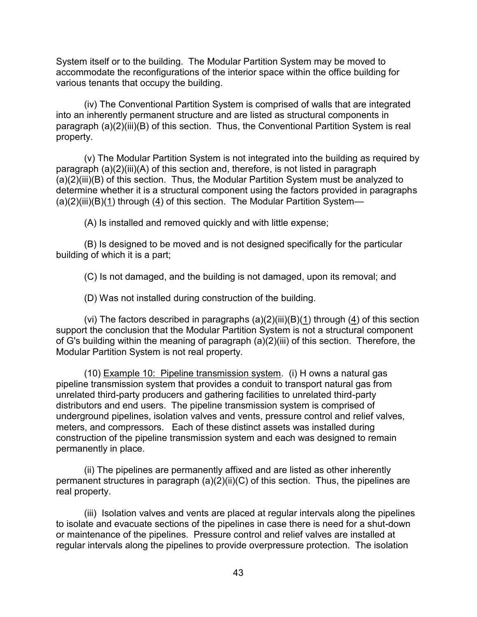System itself or to the building. The Modular Partition System may be moved to accommodate the reconfigurations of the interior space within the office building for various tenants that occupy the building.

(iv) The Conventional Partition System is comprised of walls that are integrated into an inherently permanent structure and are listed as structural components in paragraph (a)(2)(iii)(B) of this section. Thus, the Conventional Partition System is real property.

(v) The Modular Partition System is not integrated into the building as required by paragraph (a)(2)(iii)(A) of this section and, therefore, is not listed in paragraph (a)(2)(iii)(B) of this section. Thus, the Modular Partition System must be analyzed to determine whether it is a structural component using the factors provided in paragraphs (a)(2)(iii)(B)(1) through (4) of this section. The Modular Partition System—

(A) Is installed and removed quickly and with little expense;

(B) Is designed to be moved and is not designed specifically for the particular building of which it is a part;

(C) Is not damaged, and the building is not damaged, upon its removal; and

(D) Was not installed during construction of the building.

(vi) The factors described in paragraphs  $(a)(2)(iii)(B)(1)$  through  $(4)$  of this section support the conclusion that the Modular Partition System is not a structural component of G's building within the meaning of paragraph (a)(2)(iii) of this section. Therefore, the Modular Partition System is not real property.

(10) Example 10: Pipeline transmission system. (i) H owns a natural gas pipeline transmission system that provides a conduit to transport natural gas from unrelated third-party producers and gathering facilities to unrelated third-party distributors and end users. The pipeline transmission system is comprised of underground pipelines, isolation valves and vents, pressure control and relief valves, meters, and compressors. Each of these distinct assets was installed during construction of the pipeline transmission system and each was designed to remain permanently in place.

(ii) The pipelines are permanently affixed and are listed as other inherently permanent structures in paragraph (a)(2)(ii)(C) of this section. Thus, the pipelines are real property.

(iii) Isolation valves and vents are placed at regular intervals along the pipelines to isolate and evacuate sections of the pipelines in case there is need for a shut-down or maintenance of the pipelines. Pressure control and relief valves are installed at regular intervals along the pipelines to provide overpressure protection. The isolation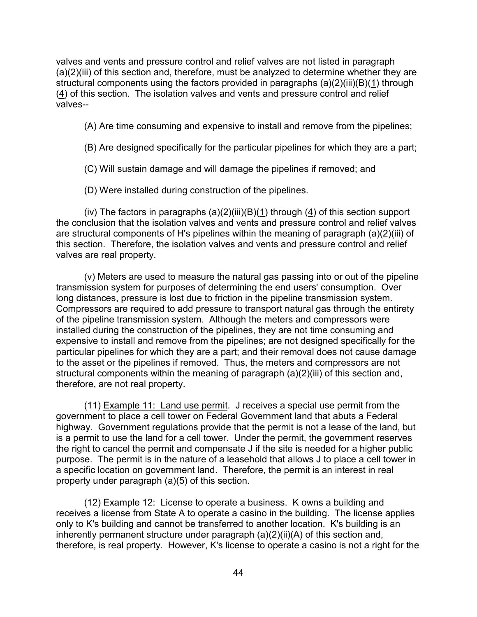valves and vents and pressure control and relief valves are not listed in paragraph (a)(2)(iii) of this section and, therefore, must be analyzed to determine whether they are structural components using the factors provided in paragraphs (a)(2)(iii)(B)(1) through (4) of this section. The isolation valves and vents and pressure control and relief valves--

(A) Are time consuming and expensive to install and remove from the pipelines;

(B) Are designed specifically for the particular pipelines for which they are a part;

(C) Will sustain damage and will damage the pipelines if removed; and

(D) Were installed during construction of the pipelines.

(iv) The factors in paragraphs  $(a)(2)(iii)(B)(1)$  through  $(4)$  of this section support the conclusion that the isolation valves and vents and pressure control and relief valves are structural components of H's pipelines within the meaning of paragraph (a)(2)(iii) of this section. Therefore, the isolation valves and vents and pressure control and relief valves are real property.

(v) Meters are used to measure the natural gas passing into or out of the pipeline transmission system for purposes of determining the end users' consumption. Over long distances, pressure is lost due to friction in the pipeline transmission system. Compressors are required to add pressure to transport natural gas through the entirety of the pipeline transmission system. Although the meters and compressors were installed during the construction of the pipelines, they are not time consuming and expensive to install and remove from the pipelines; are not designed specifically for the particular pipelines for which they are a part; and their removal does not cause damage to the asset or the pipelines if removed. Thus, the meters and compressors are not structural components within the meaning of paragraph (a)(2)(iii) of this section and, therefore, are not real property.

(11) Example 11: Land use permit. J receives a special use permit from the government to place a cell tower on Federal Government land that abuts a Federal highway. Government regulations provide that the permit is not a lease of the land, but is a permit to use the land for a cell tower. Under the permit, the government reserves the right to cancel the permit and compensate J if the site is needed for a higher public purpose. The permit is in the nature of a leasehold that allows J to place a cell tower in a specific location on government land. Therefore, the permit is an interest in real property under paragraph (a)(5) of this section.

(12) Example 12: License to operate a business. K owns a building and receives a license from State A to operate a casino in the building. The license applies only to K's building and cannot be transferred to another location. K's building is an inherently permanent structure under paragraph (a)(2)(ii)(A) of this section and, therefore, is real property. However, K's license to operate a casino is not a right for the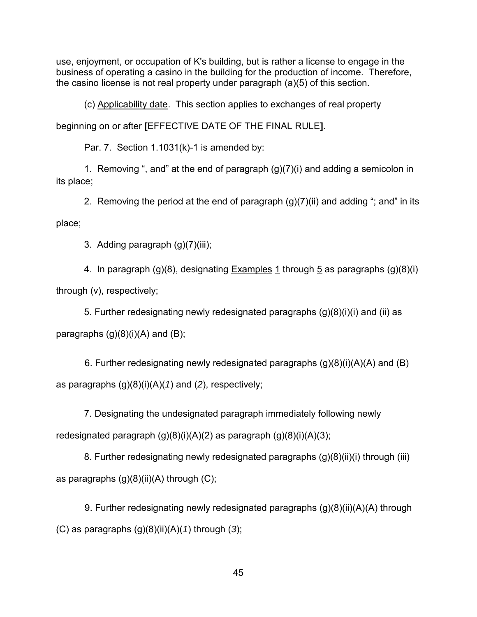use, enjoyment, or occupation of K's building, but is rather a license to engage in the business of operating a casino in the building for the production of income. Therefore, the casino license is not real property under paragraph (a)(5) of this section.

(c) Applicability date. This section applies to exchanges of real property

beginning on or after **[**EFFECTIVE DATE OF THE FINAL RULE**]**.

Par. 7. Section 1.1031(k)-1 is amended by:

 1. Removing ", and" at the end of paragraph (g)(7)(i) and adding a semicolon in its place;

2. Removing the period at the end of paragraph  $(g)(7)(ii)$  and adding "; and" in its

place;

3. Adding paragraph (g)(7)(iii);

 4. In paragraph (g)(8), designating Examples 1 through 5 as paragraphs (g)(8)(i) through (v), respectively;

 5. Further redesignating newly redesignated paragraphs (g)(8)(i)(i) and (ii) as paragraphs  $(g)(8)(i)(A)$  and  $(B)$ ;

6. Further redesignating newly redesignated paragraphs  $(g)(8)(i)(A)(A)$  and  $(B)$ as paragraphs (g)(8)(i)(A)(*1*) and (*2*), respectively;

 7. Designating the undesignated paragraph immediately following newly redesignated paragraph  $(g)(8)(i)(A)(2)$  as paragraph  $(g)(8)(i)(A)(3)$ ;

8. Further redesignating newly redesignated paragraphs (g)(8)(ii)(i) through (iii) as paragraphs  $(g)(8)(ii)(A)$  through  $(C)$ ;

9. Further redesignating newly redesignated paragraphs  $(q)(8)(ii)(A)(A)$  through (C) as paragraphs (g)(8)(ii)(A)(*1*) through (*3*);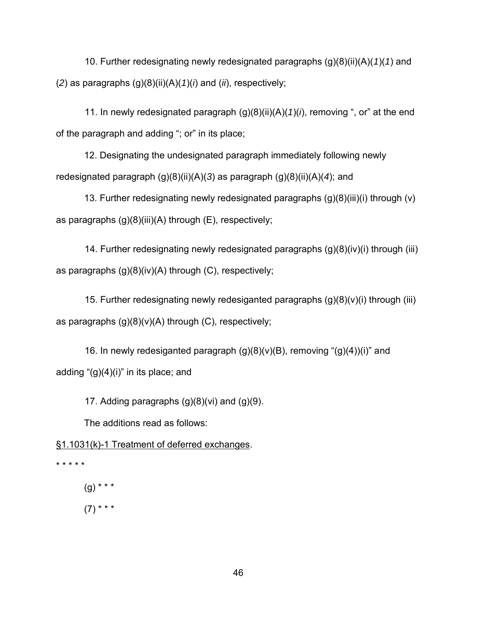10. Further redesignating newly redesignated paragraphs (g)(8)(ii)(A)(*1*)(*1*) and (*2*) as paragraphs (g)(8)(ii)(A)(*1*)(*i*) and (*ii*), respectively;

 11. In newly redesignated paragraph (g)(8)(ii)(A)(*1*)(*i*), removing ", or" at the end of the paragraph and adding "; or" in its place;

12. Designating the undesignated paragraph immediately following newly redesignated paragraph (g)(8)(ii)(A)(*3*) as paragraph (g)(8)(ii)(A)(*4*); and

13. Further redesignating newly redesignated paragraphs (g)(8)(iii)(i) through (v) as paragraphs  $(g)(8)(iii)(A)$  through  $(E)$ , respectively;

 14. Further redesignating newly redesignated paragraphs (g)(8)(iv)(i) through (iii) as paragraphs (g)(8)(iv)(A) through (C), respectively;

 15. Further redesignating newly redesiganted paragraphs (g)(8)(v)(i) through (iii) as paragraphs  $(g)(8)(v)(A)$  through  $(C)$ , respectively;

16. In newly redesiganted paragraph  $(g)(8)(v)(B)$ , removing " $(g)(4)(i)$ " and adding " $(g)(4)(i)$ " in its place; and

17. Adding paragraphs (g)(8)(vi) and (g)(9).

The additions read as follows:

§1.1031(k)-1 Treatment of deferred exchanges.

\* \* \* \* \*

 $(g)$  \* \* \*  $(7)$  \* \* \*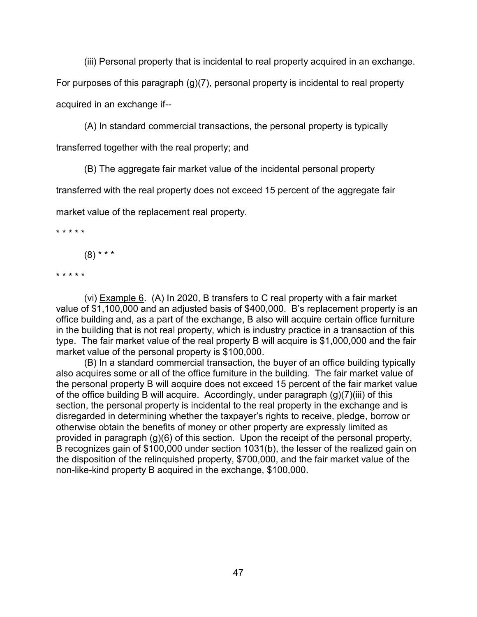(iii) Personal property that is incidental to real property acquired in an exchange.

For purposes of this paragraph (g)(7), personal property is incidental to real property acquired in an exchange if--

(A) In standard commercial transactions, the personal property is typically

transferred together with the real property; and

(B) The aggregate fair market value of the incidental personal property

transferred with the real property does not exceed 15 percent of the aggregate fair

market value of the replacement real property.

\* \* \* \* \*

 $(8)$  \* \* \*

\* \* \* \* \*

(vi) Example 6. (A) In 2020, B transfers to C real property with a fair market value of \$1,100,000 and an adjusted basis of \$400,000. B's replacement property is an office building and, as a part of the exchange, B also will acquire certain office furniture in the building that is not real property, which is industry practice in a transaction of this type. The fair market value of the real property B will acquire is \$1,000,000 and the fair market value of the personal property is \$100,000.

(B) In a standard commercial transaction, the buyer of an office building typically also acquires some or all of the office furniture in the building. The fair market value of the personal property B will acquire does not exceed 15 percent of the fair market value of the office building B will acquire. Accordingly, under paragraph (g)(7)(iii) of this section, the personal property is incidental to the real property in the exchange and is disregarded in determining whether the taxpayer's rights to receive, pledge, borrow or otherwise obtain the benefits of money or other property are expressly limited as provided in paragraph (g)(6) of this section. Upon the receipt of the personal property, B recognizes gain of \$100,000 under section 1031(b), the lesser of the realized gain on the disposition of the relinquished property, \$700,000, and the fair market value of the non-like-kind property B acquired in the exchange, \$100,000.